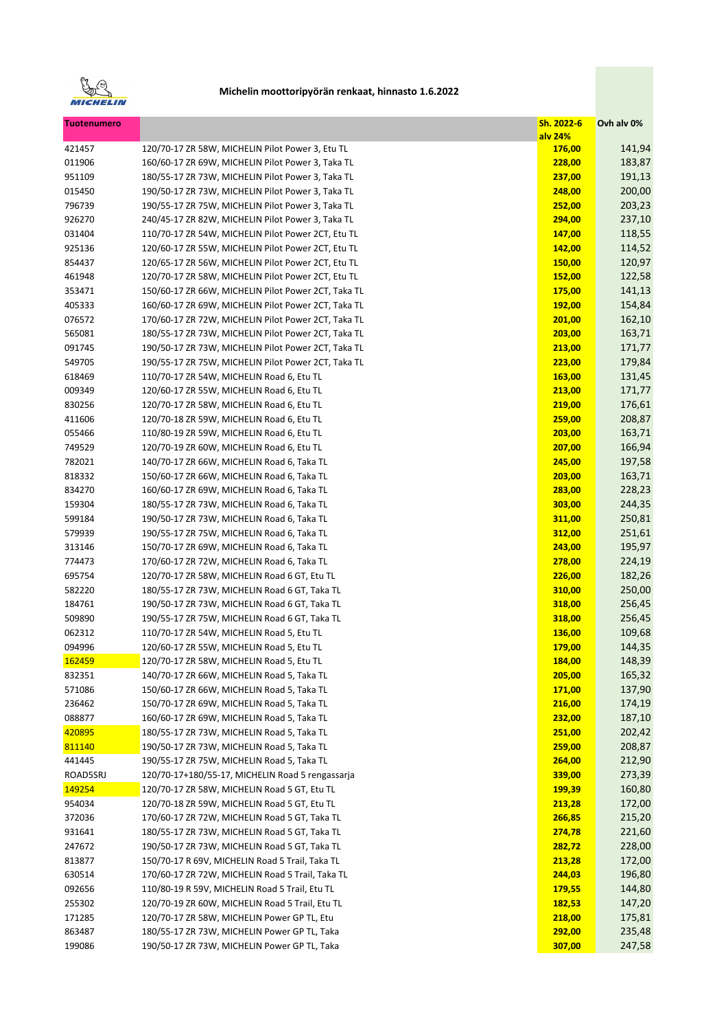

| <b>Tuotenumero</b> |                                                     | Sh. 2022-6<br>alv 24% | Ovh alv 0% |
|--------------------|-----------------------------------------------------|-----------------------|------------|
| 421457             | 120/70-17 ZR 58W, MICHELIN Pilot Power 3, Etu TL    | 176,00                | 141,94     |
| 011906             | 160/60-17 ZR 69W, MICHELIN Pilot Power 3, Taka TL   | 228,00                | 183,87     |
| 951109             | 180/55-17 ZR 73W, MICHELIN Pilot Power 3, Taka TL   | 237,00                | 191,13     |
| 015450             | 190/50-17 ZR 73W, MICHELIN Pilot Power 3, Taka TL   | 248,00                | 200,00     |
| 796739             | 190/55-17 ZR 75W, MICHELIN Pilot Power 3, Taka TL   | 252,00                | 203,23     |
| 926270             | 240/45-17 ZR 82W, MICHELIN Pilot Power 3, Taka TL   | 294,00                | 237,10     |
| 031404             | 110/70-17 ZR 54W, MICHELIN Pilot Power 2CT, Etu TL  | 147,00                | 118,55     |
| 925136             | 120/60-17 ZR 55W, MICHELIN Pilot Power 2CT, Etu TL  | 142,00                | 114,52     |
| 854437             | 120/65-17 ZR 56W, MICHELIN Pilot Power 2CT, Etu TL  | 150,00                | 120,97     |
| 461948             | 120/70-17 ZR 58W, MICHELIN Pilot Power 2CT, Etu TL  | 152,00                | 122,58     |
| 353471             | 150/60-17 ZR 66W, MICHELIN Pilot Power 2CT, Taka TL | 175,00                | 141,13     |
| 405333             | 160/60-17 ZR 69W, MICHELIN Pilot Power 2CT, Taka TL | 192,00                | 154,84     |
| 076572             | 170/60-17 ZR 72W, MICHELIN Pilot Power 2CT, Taka TL | 201,00                | 162,10     |
| 565081             | 180/55-17 ZR 73W, MICHELIN Pilot Power 2CT, Taka TL | 203,00                | 163,71     |
| 091745             | 190/50-17 ZR 73W, MICHELIN Pilot Power 2CT, Taka TL | 213,00                | 171,77     |
| 549705             | 190/55-17 ZR 75W, MICHELIN Pilot Power 2CT, Taka TL | 223,00                | 179,84     |
| 618469             | 110/70-17 ZR 54W, MICHELIN Road 6, Etu TL           | 163,00                | 131,45     |
| 009349             | 120/60-17 ZR 55W, MICHELIN Road 6, Etu TL           | 213,00                | 171,77     |
| 830256             | 120/70-17 ZR 58W, MICHELIN Road 6, Etu TL           | 219,00                | 176,61     |
| 411606             | 120/70-18 ZR 59W, MICHELIN Road 6, Etu TL           | 259,00                | 208,87     |
| 055466             | 110/80-19 ZR 59W, MICHELIN Road 6, Etu TL           | 203,00                | 163,71     |
| 749529             | 120/70-19 ZR 60W, MICHELIN Road 6, Etu TL           | 207,00                | 166,94     |
| 782021             | 140/70-17 ZR 66W, MICHELIN Road 6, Taka TL          | 245,00                | 197,58     |
| 818332             | 150/60-17 ZR 66W, MICHELIN Road 6, Taka TL          | 203,00                | 163,71     |
| 834270             | 160/60-17 ZR 69W, MICHELIN Road 6, Taka TL          | 283,00                | 228,23     |
| 159304             | 180/55-17 ZR 73W, MICHELIN Road 6, Taka TL          | 303,00                | 244,35     |
| 599184             | 190/50-17 ZR 73W, MICHELIN Road 6, Taka TL          | 311,00                | 250,81     |
| 579939             | 190/55-17 ZR 75W, MICHELIN Road 6, Taka TL          | 312,00                | 251,61     |
| 313146             | 150/70-17 ZR 69W, MICHELIN Road 6, Taka TL          | 243,00                | 195,97     |
| 774473             | 170/60-17 ZR 72W, MICHELIN Road 6, Taka TL          | 278,00                | 224,19     |
| 695754             | 120/70-17 ZR 58W, MICHELIN Road 6 GT, Etu TL        | 226,00                | 182,26     |
| 582220             | 180/55-17 ZR 73W, MICHELIN Road 6 GT, Taka TL       | 310,00                | 250,00     |
| 184761             | 190/50-17 ZR 73W, MICHELIN Road 6 GT, Taka TL       | 318,00                | 256,45     |
| 509890             | 190/55-17 ZR 75W, MICHELIN Road 6 GT, Taka TL       | 318,00                | 256,45     |
| 062312             | 110/70-17 ZR 54W, MICHELIN Road 5, Etu TL           | 136,00                | 109,68     |
| 094996             | 120/60-17 ZR 55W, MICHELIN Road 5, Etu TL           | 179,00                | 144,35     |
| 162459             | 120/70-17 ZR 58W. MICHELIN Road 5. Etu TL           | 184,00                | 148,39     |
| 832351             | 140/70-17 ZR 66W, MICHELIN Road 5, Taka TL          | 205,00                | 165,32     |
| 571086             | 150/60-17 ZR 66W, MICHELIN Road 5, Taka TL          | 171,00                | 137,90     |
| 236462             | 150/70-17 ZR 69W, MICHELIN Road 5, Taka TL          | 216,00                | 174,19     |
| 088877             | 160/60-17 ZR 69W, MICHELIN Road 5, Taka TL          | 232,00                | 187,10     |
| 420895             | 180/55-17 ZR 73W, MICHELIN Road 5, Taka TL          | 251,00                | 202,42     |
| 811140             | 190/50-17 ZR 73W, MICHELIN Road 5, Taka TL          | 259,00                | 208,87     |
| 441445             | 190/55-17 ZR 75W, MICHELIN Road 5, Taka TL          | 264,00                | 212,90     |
| ROAD5SRJ           | 120/70-17+180/55-17, MICHELIN Road 5 rengassarja    | 339,00                | 273,39     |
| 149254             | 120/70-17 ZR 58W, MICHELIN Road 5 GT, Etu TL        | 199,39                | 160,80     |
| 954034             | 120/70-18 ZR 59W, MICHELIN Road 5 GT, Etu TL        | 213,28                | 172,00     |
| 372036             | 170/60-17 ZR 72W, MICHELIN Road 5 GT, Taka TL       | 266,85                | 215,20     |
| 931641             | 180/55-17 ZR 73W, MICHELIN Road 5 GT, Taka TL       | 274,78                | 221,60     |
| 247672             | 190/50-17 ZR 73W, MICHELIN Road 5 GT, Taka TL       | 282,72                | 228,00     |
| 813877             | 150/70-17 R 69V, MICHELIN Road 5 Trail, Taka TL     | 213,28                | 172,00     |
| 630514             | 170/60-17 ZR 72W, MICHELIN Road 5 Trail, Taka TL    | 244,03                | 196,80     |
| 092656             | 110/80-19 R 59V, MICHELIN Road 5 Trail, Etu TL      | 179,55                | 144,80     |
| 255302             | 120/70-19 ZR 60W, MICHELIN Road 5 Trail, Etu TL     | 182,53                | 147,20     |
| 171285             | 120/70-17 ZR 58W, MICHELIN Power GP TL, Etu         | 218,00                | 175,81     |
| 863487             | 180/55-17 ZR 73W, MICHELIN Power GP TL, Taka        | 292,00                | 235,48     |
| 199086             | 190/50-17 ZR 73W, MICHELIN Power GP TL, Taka        | 307,00                | 247,58     |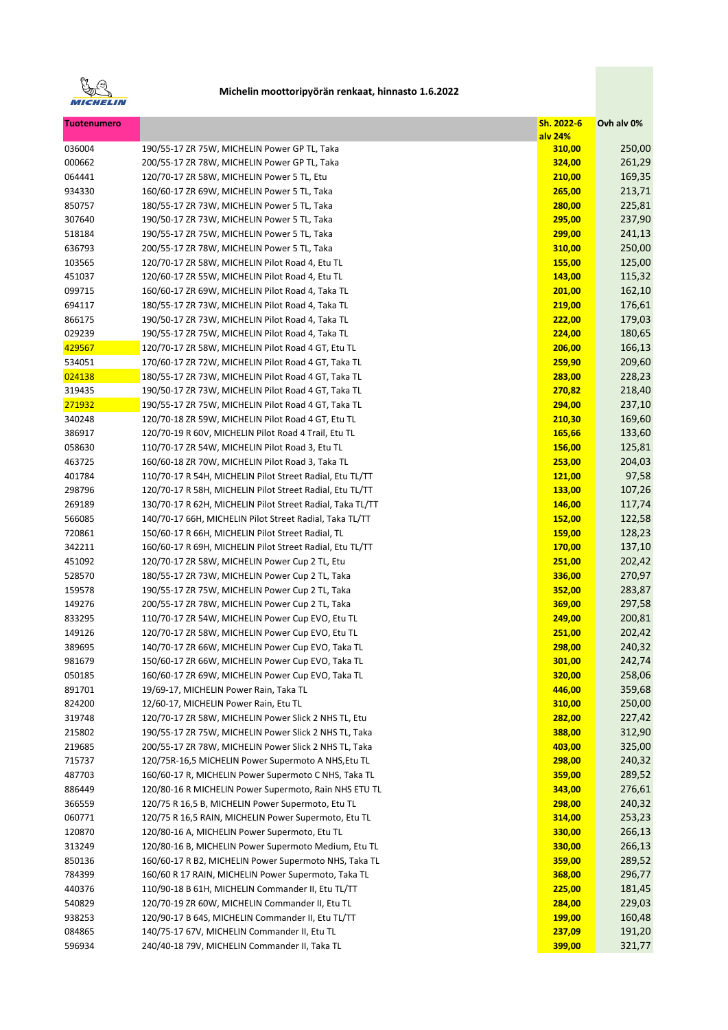

| <b>Tuotenumero</b> |                                                           | Sh. 2022-6<br>alv 24% | Ovh alv 0% |
|--------------------|-----------------------------------------------------------|-----------------------|------------|
| 036004             | 190/55-17 ZR 75W, MICHELIN Power GP TL, Taka              | 310,00                | 250,00     |
| 000662             | 200/55-17 ZR 78W, MICHELIN Power GP TL, Taka              | 324,00                | 261,29     |
| 064441             | 120/70-17 ZR 58W, MICHELIN Power 5 TL, Etu                | 210,00                | 169,35     |
| 934330             | 160/60-17 ZR 69W, MICHELIN Power 5 TL, Taka               | 265,00                | 213,71     |
| 850757             | 180/55-17 ZR 73W, MICHELIN Power 5 TL, Taka               | 280,00                | 225,81     |
| 307640             | 190/50-17 ZR 73W, MICHELIN Power 5 TL, Taka               | 295,00                | 237,90     |
| 518184             | 190/55-17 ZR 75W, MICHELIN Power 5 TL, Taka               | 299,00                | 241,13     |
| 636793             | 200/55-17 ZR 78W, MICHELIN Power 5 TL, Taka               | 310,00                | 250,00     |
| 103565             | 120/70-17 ZR 58W, MICHELIN Pilot Road 4, Etu TL           | 155,00                | 125,00     |
| 451037             | 120/60-17 ZR 55W, MICHELIN Pilot Road 4, Etu TL           | 143,00                | 115,32     |
| 099715             | 160/60-17 ZR 69W, MICHELIN Pilot Road 4, Taka TL          | 201,00                | 162,10     |
| 694117             | 180/55-17 ZR 73W, MICHELIN Pilot Road 4, Taka TL          | 219,00                | 176,61     |
| 866175             | 190/50-17 ZR 73W, MICHELIN Pilot Road 4, Taka TL          | 222,00                | 179,03     |
| 029239             | 190/55-17 ZR 75W, MICHELIN Pilot Road 4, Taka TL          | 224,00                | 180,65     |
| 429567             | 120/70-17 ZR 58W, MICHELIN Pilot Road 4 GT, Etu TL        | 206,00                | 166,13     |
| 534051             | 170/60-17 ZR 72W, MICHELIN Pilot Road 4 GT, Taka TL       | 259,90                | 209,60     |
| 024138             | 180/55-17 ZR 73W, MICHELIN Pilot Road 4 GT, Taka TL       | 283,00                | 228,23     |
| 319435             | 190/50-17 ZR 73W, MICHELIN Pilot Road 4 GT, Taka TL       | 270,82                | 218,40     |
| 271932             | 190/55-17 ZR 75W, MICHELIN Pilot Road 4 GT, Taka TL       | 294,00                | 237,10     |
|                    |                                                           |                       |            |
| 340248             | 120/70-18 ZR 59W, MICHELIN Pilot Road 4 GT, Etu TL        | 210,30                | 169,60     |
| 386917             | 120/70-19 R 60V, MICHELIN Pilot Road 4 Trail, Etu TL      | 165,66                | 133,60     |
| 058630             | 110/70-17 ZR 54W, MICHELIN Pilot Road 3, Etu TL           | 156,00                | 125,81     |
| 463725             | 160/60-18 ZR 70W, MICHELIN Pilot Road 3, Taka TL          | 253,00                | 204,03     |
| 401784             | 110/70-17 R 54H, MICHELIN Pilot Street Radial, Etu TL/TT  | <b>121,00</b>         | 97,58      |
| 298796             | 120/70-17 R 58H, MICHELIN Pilot Street Radial, Etu TL/TT  | 133,00                | 107,26     |
| 269189             | 130/70-17 R 62H, MICHELIN Pilot Street Radial, Taka TL/TT | 146,00                | 117,74     |
| 566085             | 140/70-17 66H, MICHELIN Pilot Street Radial, Taka TL/TT   | 152,00                | 122,58     |
| 720861             | 150/60-17 R 66H, MICHELIN Pilot Street Radial, TL         | 159,00                | 128,23     |
| 342211             | 160/60-17 R 69H, MICHELIN Pilot Street Radial, Etu TL/TT  | 170,00                | 137,10     |
| 451092             | 120/70-17 ZR 58W, MICHELIN Power Cup 2 TL, Etu            | 251,00                | 202,42     |
| 528570             | 180/55-17 ZR 73W, MICHELIN Power Cup 2 TL, Taka           | 336,00                | 270,97     |
| 159578             | 190/55-17 ZR 75W, MICHELIN Power Cup 2 TL, Taka           | 352,00                | 283,87     |
| 149276             | 200/55-17 ZR 78W, MICHELIN Power Cup 2 TL, Taka           | 369,00                | 297,58     |
| 833295             | 110/70-17 ZR 54W, MICHELIN Power Cup EVO, Etu TL          | 249,00                | 200,81     |
| 149126             | 120/70-17 ZR 58W, MICHELIN Power Cup EVO, Etu TL          | 251,00                | 202,42     |
| 389695             | 140/70-17 ZR 66W, MICHELIN Power Cup EVO, Taka TL         | 298,00                | 240,32     |
| 981679             | 150/60-17 ZR 66W, MICHELIN Power Cup EVO, Taka TL         | 301,00                | 242,74     |
| 050185             | 160/60-17 ZR 69W, MICHELIN Power Cup EVO, Taka TL         | 320,00                | 258,06     |
| 891701             | 19/69-17, MICHELIN Power Rain, Taka TL                    | 446,00                | 359,68     |
| 824200             | 12/60-17, MICHELIN Power Rain, Etu TL                     | 310,00                | 250,00     |
| 319748             | 120/70-17 ZR 58W, MICHELIN Power Slick 2 NHS TL, Etu      | 282,00                | 227,42     |
| 215802             | 190/55-17 ZR 75W, MICHELIN Power Slick 2 NHS TL, Taka     | 388,00                | 312,90     |
| 219685             | 200/55-17 ZR 78W, MICHELIN Power Slick 2 NHS TL, Taka     | 403,00                | 325,00     |
| 715737             | 120/75R-16,5 MICHELIN Power Supermoto A NHS, Etu TL       | 298,00                | 240,32     |
| 487703             | 160/60-17 R, MICHELIN Power Supermoto C NHS, Taka TL      | 359,00                | 289,52     |
| 886449             | 120/80-16 R MICHELIN Power Supermoto, Rain NHS ETU TL     | 343,00                | 276,61     |
| 366559             | 120/75 R 16,5 B, MICHELIN Power Supermoto, Etu TL         | 298,00                | 240,32     |
| 060771             | 120/75 R 16,5 RAIN, MICHELIN Power Supermoto, Etu TL      | 314,00                | 253,23     |
| 120870             | 120/80-16 A, MICHELIN Power Supermoto, Etu TL             | 330,00                | 266,13     |
| 313249             | 120/80-16 B, MICHELIN Power Supermoto Medium, Etu TL      | 330,00                | 266,13     |
| 850136             | 160/60-17 R B2, MICHELIN Power Supermoto NHS, Taka TL     | 359,00                | 289,52     |
| 784399             | 160/60 R 17 RAIN, MICHELIN Power Supermoto, Taka TL       | 368,00                | 296,77     |
| 440376             | 110/90-18 B 61H, MICHELIN Commander II, Etu TL/TT         | 225,00                | 181,45     |
| 540829             | 120/70-19 ZR 60W, MICHELIN Commander II, Etu TL           | 284,00                | 229,03     |
| 938253             | 120/90-17 B 64S, MICHELIN Commander II, Etu TL/TT         | 199,00                | 160,48     |
| 084865             | 140/75-17 67V, MICHELIN Commander II, Etu TL              | 237,09                | 191,20     |
| 596934             | 240/40-18 79V, MICHELIN Commander II, Taka TL             | 399,00                | 321,77     |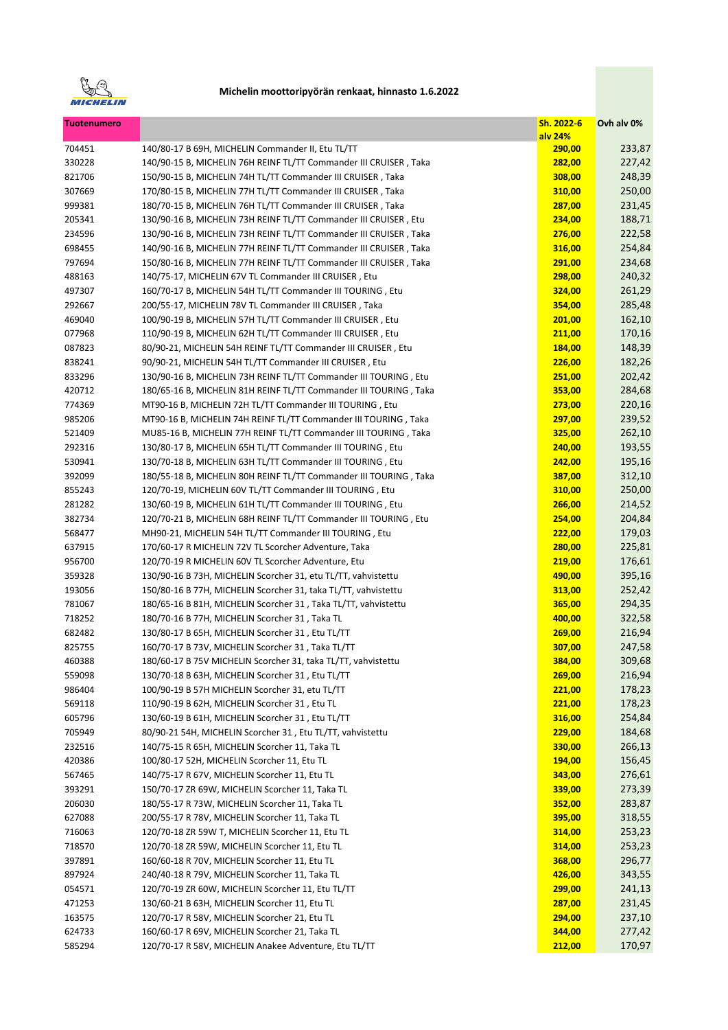

| <b>Tuotenumero</b> |                                                                   | Sh. 2022-6<br>alv 24% | Ovh alv 0% |
|--------------------|-------------------------------------------------------------------|-----------------------|------------|
| 704451             | 140/80-17 B 69H, MICHELIN Commander II, Etu TL/TT                 | 290,00                | 233,87     |
| 330228             | 140/90-15 B, MICHELIN 76H REINF TL/TT Commander III CRUISER, Taka | 282,00                | 227,42     |
| 821706             | 150/90-15 B, MICHELIN 74H TL/TT Commander III CRUISER, Taka       | 308,00                | 248,39     |
| 307669             | 170/80-15 B, MICHELIN 77H TL/TT Commander III CRUISER, Taka       | 310,00                | 250,00     |
| 999381             | 180/70-15 B, MICHELIN 76H TL/TT Commander III CRUISER, Taka       | 287,00                | 231,45     |
| 205341             | 130/90-16 B, MICHELIN 73H REINF TL/TT Commander III CRUISER, Etu  | 234,00                | 188,71     |
| 234596             | 130/90-16 B, MICHELIN 73H REINF TL/TT Commander III CRUISER, Taka | 276,00                | 222,58     |
| 698455             | 140/90-16 B, MICHELIN 77H REINF TL/TT Commander III CRUISER, Taka | 316,00                | 254,84     |
| 797694             | 150/80-16 B, MICHELIN 77H REINF TL/TT Commander III CRUISER, Taka | 291,00                | 234,68     |
| 488163             | 140/75-17, MICHELIN 67V TL Commander III CRUISER, Etu             | 298,00                | 240,32     |
| 497307             | 160/70-17 B, MICHELIN 54H TL/TT Commander III TOURING, Etu        | 324,00                | 261,29     |
| 292667             | 200/55-17, MICHELIN 78V TL Commander III CRUISER, Taka            | 354,00                | 285,48     |
| 469040             | 100/90-19 B, MICHELIN 57H TL/TT Commander III CRUISER, Etu        | 201,00                | 162,10     |
| 077968             | 110/90-19 B, MICHELIN 62H TL/TT Commander III CRUISER, Etu        | 211,00                | 170,16     |
| 087823             | 80/90-21, MICHELIN 54H REINF TL/TT Commander III CRUISER, Etu     | 184,00                | 148,39     |
| 838241             | 90/90-21, MICHELIN 54H TL/TT Commander III CRUISER, Etu           | 226,00                | 182,26     |
| 833296             | 130/90-16 B, MICHELIN 73H REINF TL/TT Commander III TOURING, Etu  | 251,00                | 202,42     |
| 420712             | 180/65-16 B, MICHELIN 81H REINF TL/TT Commander III TOURING, Taka | 353,00                | 284,68     |
| 774369             | MT90-16 B, MICHELIN 72H TL/TT Commander III TOURING, Etu          | 273,00                | 220,16     |
| 985206             | MT90-16 B, MICHELIN 74H REINF TL/TT Commander III TOURING, Taka   | 297,00                | 239,52     |
| 521409             | MU85-16 B, MICHELIN 77H REINF TL/TT Commander III TOURING, Taka   | 325,00                | 262,10     |
| 292316             | 130/80-17 B, MICHELIN 65H TL/TT Commander III TOURING, Etu        | 240,00                | 193,55     |
| 530941             | 130/70-18 B, MICHELIN 63H TL/TT Commander III TOURING, Etu        | 242,00                | 195,16     |
| 392099             | 180/55-18 B, MICHELIN 80H REINF TL/TT Commander III TOURING, Taka | 387,00                | 312,10     |
| 855243             | 120/70-19, MICHELIN 60V TL/TT Commander III TOURING, Etu          | 310,00                | 250,00     |
| 281282             | 130/60-19 B, MICHELIN 61H TL/TT Commander III TOURING, Etu        | 266,00                | 214,52     |
| 382734             | 120/70-21 B, MICHELIN 68H REINF TL/TT Commander III TOURING, Etu  | 254,00                | 204,84     |
| 568477             | MH90-21, MICHELIN 54H TL/TT Commander III TOURING, Etu            | 222,00                | 179,03     |
| 637915             | 170/60-17 R MICHELIN 72V TL Scorcher Adventure, Taka              | 280,00                | 225,81     |
| 956700             | 120/70-19 R MICHELIN 60V TL Scorcher Adventure, Etu               | 219,00                | 176,61     |
| 359328             | 130/90-16 B 73H, MICHELIN Scorcher 31, etu TL/TT, vahvistettu     | 490,00                | 395,16     |
| 193056             | 150/80-16 B 77H, MICHELIN Scorcher 31, taka TL/TT, vahvistettu    | 313,00                | 252,42     |
| 781067             | 180/65-16 B 81H, MICHELIN Scorcher 31, Taka TL/TT, vahvistettu    | 365,00                | 294,35     |
| 718252             | 180/70-16 B 77H, MICHELIN Scorcher 31, Taka TL                    | 400,00                | 322,58     |
| 682482             | 130/80-17 B 65H, MICHELIN Scorcher 31, Etu TL/TT                  | 269,00                | 216,94     |
| 825755             | 160/70-17 B 73V, MICHELIN Scorcher 31, Taka TL/TT                 | 307,00                | 247,58     |
| 460388             | 180/60-17 B 75V MICHELIN Scorcher 31, taka TL/TT, vahvistettu     | 384,00                | 309,68     |
| 559098             | 130/70-18 B 63H, MICHELIN Scorcher 31, Etu TL/TT                  | 269,00                | 216,94     |
| 986404             | 100/90-19 B 57H MICHELIN Scorcher 31, etu TL/TT                   | 221,00                | 178,23     |
| 569118             | 110/90-19 B 62H, MICHELIN Scorcher 31, Etu TL                     | 221,00                | 178,23     |
| 605796             | 130/60-19 B 61H, MICHELIN Scorcher 31, Etu TL/TT                  | 316,00                | 254,84     |
| 705949             | 80/90-21 54H, MICHELIN Scorcher 31, Etu TL/TT, vahvistettu        | 229,00                | 184,68     |
| 232516             | 140/75-15 R 65H, MICHELIN Scorcher 11, Taka TL                    | 330,00                | 266,13     |
| 420386             | 100/80-17 52H, MICHELIN Scorcher 11, Etu TL                       | 194,00                | 156,45     |
| 567465             | 140/75-17 R 67V, MICHELIN Scorcher 11, Etu TL                     | 343,00                | 276,61     |
| 393291             | 150/70-17 ZR 69W, MICHELIN Scorcher 11, Taka TL                   | 339,00                | 273,39     |
| 206030             | 180/55-17 R 73W, MICHELIN Scorcher 11, Taka TL                    | 352,00                | 283,87     |
| 627088             | 200/55-17 R 78V, MICHELIN Scorcher 11, Taka TL                    | 395,00                | 318,55     |
| 716063             | 120/70-18 ZR 59W T, MICHELIN Scorcher 11, Etu TL                  | 314,00                | 253,23     |
| 718570             | 120/70-18 ZR 59W, MICHELIN Scorcher 11, Etu TL                    | 314,00                | 253,23     |
| 397891             | 160/60-18 R 70V, MICHELIN Scorcher 11, Etu TL                     | 368,00                | 296,77     |
|                    |                                                                   |                       |            |
| 897924<br>054571   | 240/40-18 R 79V, MICHELIN Scorcher 11, Taka TL                    | 426,00                | 343,55     |
|                    | 120/70-19 ZR 60W, MICHELIN Scorcher 11, Etu TL/TT                 | 299,00                | 241,13     |
| 471253             | 130/60-21 B 63H, MICHELIN Scorcher 11, Etu TL                     | 287,00                | 231,45     |
| 163575             | 120/70-17 R 58V, MICHELIN Scorcher 21, Etu TL                     | 294,00                | 237,10     |
| 624733             | 160/60-17 R 69V, MICHELIN Scorcher 21, Taka TL                    | 344,00                | 277,42     |
| 585294             | 120/70-17 R 58V, MICHELIN Anakee Adventure, Etu TL/TT             | 212,00                | 170,97     |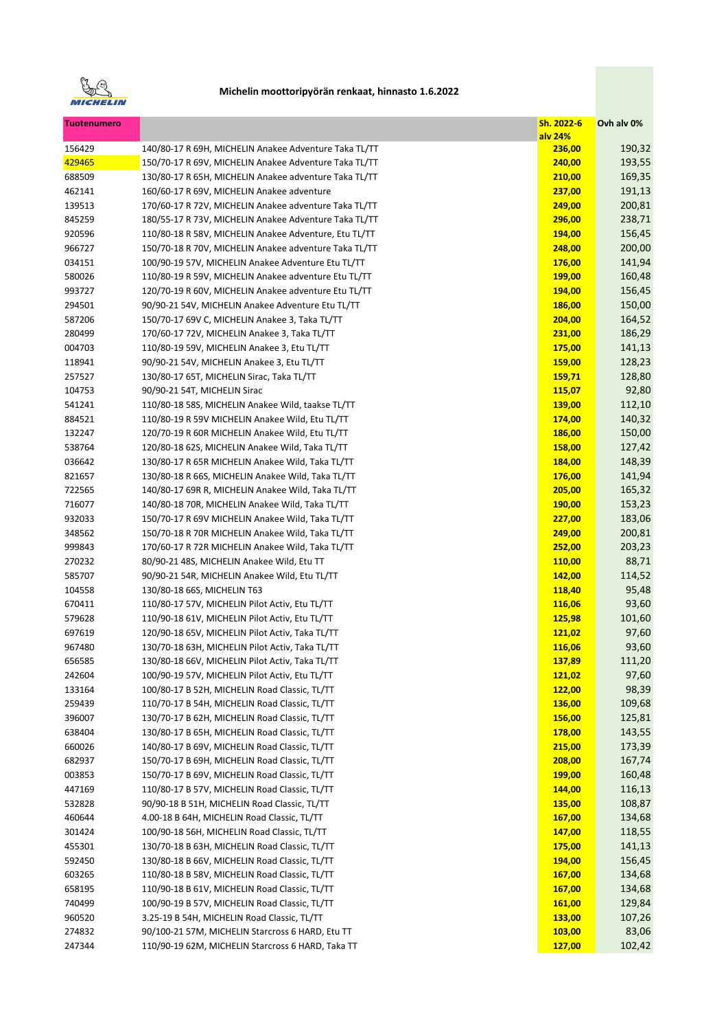

| <b>Tuotenumero</b> |                                                       | Sh. 2022-6<br>alv 24% | Ovh alv 0% |
|--------------------|-------------------------------------------------------|-----------------------|------------|
| 156429             | 140/80-17 R 69H, MICHELIN Anakee Adventure Taka TL/TT | 236,00                | 190,32     |
| 429465             | 150/70-17 R 69V, MICHELIN Anakee Adventure Taka TL/TT | 240,00                | 193,55     |
| 688509             | 130/80-17 R 65H, MICHELIN Anakee adventure Taka TL/TT | 210,00                | 169,35     |
| 462141             | 160/60-17 R 69V, MICHELIN Anakee adventure            | 237,00                | 191,13     |
| 139513             | 170/60-17 R 72V, MICHELIN Anakee adventure Taka TL/TT | 249,00                | 200,81     |
| 845259             | 180/55-17 R 73V, MICHELIN Anakee Adventure Taka TL/TT | 296,00                | 238,71     |
| 920596             | 110/80-18 R 58V, MICHELIN Anakee Adventure, Etu TL/TT | 194,00                | 156,45     |
| 966727             | 150/70-18 R 70V, MICHELIN Anakee adventure Taka TL/TT | 248,00                | 200,00     |
| 034151             | 100/90-19 57V, MICHELIN Anakee Adventure Etu TL/TT    | 176,00                | 141,94     |
| 580026             | 110/80-19 R 59V, MICHELIN Anakee adventure Etu TL/TT  | <b>199,00</b>         | 160,48     |
| 993727             | 120/70-19 R 60V, MICHELIN Anakee adventure Etu TL/TT  | 194,00                | 156,45     |
| 294501             | 90/90-21 54V, MICHELIN Anakee Adventure Etu TL/TT     | 186,00                | 150,00     |
| 587206             | 150/70-17 69V C, MICHELIN Anakee 3, Taka TL/TT        | 204,00                | 164,52     |
| 280499             | 170/60-17 72V, MICHELIN Anakee 3, Taka TL/TT          | 231,00                | 186,29     |
| 004703             | 110/80-19 59V, MICHELIN Anakee 3, Etu TL/TT           | 175,00                | 141,13     |
| 118941             | 90/90-21 54V, MICHELIN Anakee 3, Etu TL/TT            | 159,00                | 128,23     |
| 257527             | 130/80-17 65T, MICHELIN Sirac, Taka TL/TT             | <b>159,71</b>         | 128,80     |
| 104753             | 90/90-21 54T, MICHELIN Sirac                          | 115,07                | 92,80      |
| 541241             | 110/80-18 58S, MICHELIN Anakee Wild, taakse TL/TT     | 139,00                | 112,10     |
| 884521             | 110/80-19 R 59V MICHELIN Anakee Wild, Etu TL/TT       | 174,00                | 140,32     |
| 132247             | 120/70-19 R 60R MICHELIN Anakee Wild, Etu TL/TT       | 186,00                | 150,00     |
| 538764             | 120/80-18 62S, MICHELIN Anakee Wild, Taka TL/TT       | 158,00                | 127,42     |
| 036642             | 130/80-17 R 65R MICHELIN Anakee Wild, Taka TL/TT      | 184,00                | 148,39     |
| 821657             | 130/80-18 R 66S, MICHELIN Anakee Wild, Taka TL/TT     | 176,00                | 141,94     |
| 722565             | 140/80-17 69R R, MICHELIN Anakee Wild, Taka TL/TT     | 205,00                | 165,32     |
| 716077             | 140/80-18 70R, MICHELIN Anakee Wild, Taka TL/TT       | <b>190,00</b>         | 153,23     |
| 932033             | 150/70-17 R 69V MICHELIN Anakee Wild, Taka TL/TT      | 227,00                | 183,06     |
| 348562             | 150/70-18 R 70R MICHELIN Anakee Wild, Taka TL/TT      | 249,00                | 200,81     |
| 999843             | 170/60-17 R 72R MICHELIN Anakee Wild, Taka TL/TT      | 252,00                | 203,23     |
| 270232             | 80/90-21 48S, MICHELIN Anakee Wild, Etu TT            | 110,00                | 88,71      |
| 585707             | 90/90-21 54R, MICHELIN Anakee Wild, Etu TL/TT         | 142,00                | 114,52     |
| 104558             | 130/80-18 66S, MICHELIN T63                           | 118,40                | 95,48      |
| 670411             | 110/80-17 57V, MICHELIN Pilot Activ, Etu TL/TT        | 116,06                | 93,60      |
| 579628             | 110/90-18 61V, MICHELIN Pilot Activ, Etu TL/TT        | 125,98                | 101,60     |
| 697619             | 120/90-18 65V, MICHELIN Pilot Activ, Taka TL/TT       | 121,02                | 97,60      |
| 967480             | 130/70-18 63H, MICHELIN Pilot Activ, Taka TL/TT       | 116,06                | 93,60      |
| 656585             | 130/80-18 66V, MICHELIN Pilot Activ, Taka TL/TT       | 137,89                | 111,20     |
| 242604             | 100/90-19 57V, MICHELIN Pilot Activ, Etu TL/TT        | 121,02                | 97,60      |
| 133164             | 100/80-17 B 52H, MICHELIN Road Classic, TL/TT         | 122,00                | 98,39      |
| 259439             | 110/70-17 B 54H, MICHELIN Road Classic, TL/TT         | 136,00                | 109,68     |
| 396007             | 130/70-17 B 62H, MICHELIN Road Classic, TL/TT         | 156,00                | 125,81     |
| 638404             | 130/80-17 B 65H, MICHELIN Road Classic, TL/TT         | 178,00                | 143,55     |
| 660026             | 140/80-17 B 69V, MICHELIN Road Classic, TL/TT         | 215,00                | 173,39     |
| 682937             | 150/70-17 B 69H, MICHELIN Road Classic, TL/TT         | 208,00                | 167,74     |
| 003853             | 150/70-17 B 69V, MICHELIN Road Classic, TL/TT         | 199,00                | 160,48     |
| 447169             | 110/80-17 B 57V, MICHELIN Road Classic, TL/TT         | 144,00                | 116,13     |
| 532828             | 90/90-18 B 51H, MICHELIN Road Classic, TL/TT          | 135,00                | 108,87     |
| 460644             | 4.00-18 B 64H, MICHELIN Road Classic, TL/TT           | 167,00                | 134,68     |
| 301424             | 100/90-18 56H, MICHELIN Road Classic, TL/TT           | 147,00                | 118,55     |
| 455301             | 130/70-18 B 63H, MICHELIN Road Classic, TL/TT         | 175,00                | 141,13     |
| 592450             | 130/80-18 B 66V, MICHELIN Road Classic, TL/TT         | 194,00                | 156,45     |
| 603265             | 110/80-18 B 58V, MICHELIN Road Classic, TL/TT         | 167,00                | 134,68     |
| 658195             | 110/90-18 B 61V, MICHELIN Road Classic, TL/TT         | 167,00                | 134,68     |
| 740499             | 100/90-19 B 57V, MICHELIN Road Classic, TL/TT         | 161,00                | 129,84     |
| 960520             | 3.25-19 B 54H, MICHELIN Road Classic, TL/TT           | 133,00                | 107,26     |
| 274832             | 90/100-21 57M, MICHELIN Starcross 6 HARD, Etu TT      | 103,00                | 83,06      |
| 247344             | 110/90-19 62M, MICHELIN Starcross 6 HARD, Taka TT     | 127,00                | 102,42     |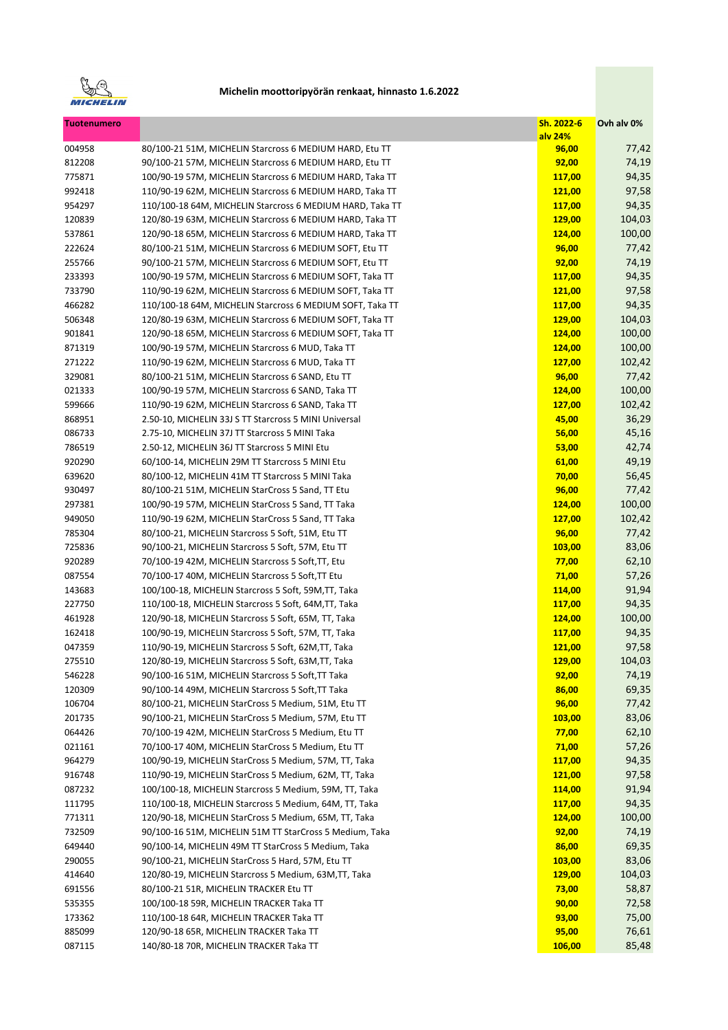

| <b>Tuotenumero</b> |                                                           | Sh. 2022-6<br>alv 24% | Ovh alv 0% |
|--------------------|-----------------------------------------------------------|-----------------------|------------|
| 004958             | 80/100-21 51M, MICHELIN Starcross 6 MEDIUM HARD, Etu TT   | 96,00                 | 77,42      |
| 812208             | 90/100-21 57M, MICHELIN Starcross 6 MEDIUM HARD, Etu TT   | 92,00                 | 74,19      |
| 775871             | 100/90-19 57M, MICHELIN Starcross 6 MEDIUM HARD, Taka TT  | 117,00                | 94,35      |
| 992418             | 110/90-19 62M, MICHELIN Starcross 6 MEDIUM HARD, Taka TT  | 121,00                | 97,58      |
| 954297             | 110/100-18 64M, MICHELIN Starcross 6 MEDIUM HARD, Taka TT | 117,00                | 94,35      |
| 120839             | 120/80-19 63M, MICHELIN Starcross 6 MEDIUM HARD, Taka TT  | 129,00                | 104,03     |
| 537861             | 120/90-18 65M, MICHELIN Starcross 6 MEDIUM HARD, Taka TT  | 124,00                | 100,00     |
| 222624             | 80/100-21 51M, MICHELIN Starcross 6 MEDIUM SOFT, Etu TT   | 96,00                 | 77,42      |
| 255766             | 90/100-21 57M, MICHELIN Starcross 6 MEDIUM SOFT, Etu TT   | 92,00                 | 74,19      |
| 233393             | 100/90-19 57M, MICHELIN Starcross 6 MEDIUM SOFT, Taka TT  | 117,00                | 94,35      |
| 733790             | 110/90-19 62M, MICHELIN Starcross 6 MEDIUM SOFT, Taka TT  | 121,00                | 97,58      |
| 466282             | 110/100-18 64M, MICHELIN Starcross 6 MEDIUM SOFT, Taka TT | 117,00                | 94,35      |
| 506348             | 120/80-19 63M, MICHELIN Starcross 6 MEDIUM SOFT, Taka TT  | 129,00                | 104,03     |
| 901841             | 120/90-18 65M, MICHELIN Starcross 6 MEDIUM SOFT, Taka TT  | 124,00                | 100,00     |
| 871319             | 100/90-19 57M, MICHELIN Starcross 6 MUD, Taka TT          | 124,00                | 100,00     |
| 271222             | 110/90-19 62M, MICHELIN Starcross 6 MUD, Taka TT          | 127,00                | 102,42     |
| 329081             | 80/100-21 51M, MICHELIN Starcross 6 SAND, Etu TT          | 96,00                 | 77,42      |
| 021333             | 100/90-19 57M, MICHELIN Starcross 6 SAND, Taka TT         | 124,00                | 100,00     |
| 599666             | 110/90-19 62M, MICHELIN Starcross 6 SAND, Taka TT         | 127,00                | 102,42     |
| 868951             | 2.50-10, MICHELIN 33J S TT Starcross 5 MINI Universal     | 45,00                 | 36,29      |
| 086733             | 2.75-10, MICHELIN 37J TT Starcross 5 MINI Taka            | 56,00                 | 45,16      |
| 786519             | 2.50-12, MICHELIN 36J TT Starcross 5 MINI Etu             | 53,00                 | 42,74      |
| 920290             | 60/100-14, MICHELIN 29M TT Starcross 5 MINI Etu           | 61,00                 | 49,19      |
| 639620             | 80/100-12, MICHELIN 41M TT Starcross 5 MINI Taka          | 70,00                 | 56,45      |
| 930497             | 80/100-21 51M, MICHELIN StarCross 5 Sand, TT Etu          | 96,00                 | 77,42      |
| 297381             | 100/90-19 57M, MICHELIN StarCross 5 Sand, TT Taka         | 124,00                | 100,00     |
| 949050             | 110/90-19 62M, MICHELIN StarCross 5 Sand, TT Taka         | 127,00                | 102,42     |
| 785304             | 80/100-21, MICHELIN Starcross 5 Soft, 51M, Etu TT         | 96,00                 | 77,42      |
| 725836             | 90/100-21, MICHELIN Starcross 5 Soft, 57M, Etu TT         | 103,00                | 83,06      |
| 920289             | 70/100-19 42M, MICHELIN Starcross 5 Soft, TT, Etu         | 77,00                 | 62,10      |
| 087554             | 70/100-17 40M, MICHELIN Starcross 5 Soft, TT Etu          | 71,00                 | 57,26      |
| 143683             | 100/100-18, MICHELIN Starcross 5 Soft, 59M, TT, Taka      | 114,00                | 91,94      |
| 227750             | 110/100-18, MICHELIN Starcross 5 Soft, 64M, TT, Taka      | 117,00                | 94,35      |
| 461928             | 120/90-18, MICHELIN Starcross 5 Soft, 65M, TT, Taka       | 124,00                | 100,00     |
| 162418             | 100/90-19, MICHELIN Starcross 5 Soft, 57M, TT, Taka       | 117,00                | 94,35      |
| 047359             | 110/90-19, MICHELIN Starcross 5 Soft, 62M,TT, Taka        | 121,00                | 97,58      |
| 275510             | 120/80-19, MICHELIN Starcross 5 Soft, 63M, TT, Taka       | <b>129,00</b>         | 104,03     |
| 546228             | 90/100-16 51M, MICHELIN Starcross 5 Soft, TT Taka         | 92,00                 | 74,19      |
| 120309             | 90/100-14 49M, MICHELIN Starcross 5 Soft, TT Taka         | 86,00                 | 69,35      |
| 106704             | 80/100-21, MICHELIN StarCross 5 Medium, 51M, Etu TT       | 96,00                 | 77,42      |
| 201735             | 90/100-21, MICHELIN StarCross 5 Medium, 57M, Etu TT       | 103,00                | 83,06      |
| 064426             | 70/100-19 42M, MICHELIN StarCross 5 Medium, Etu TT        | 77,00                 | 62,10      |
| 021161             | 70/100-17 40M, MICHELIN StarCross 5 Medium, Etu TT        | 71,00                 | 57,26      |
| 964279             | 100/90-19, MICHELIN StarCross 5 Medium, 57M, TT, Taka     | 117,00                | 94,35      |
| 916748             | 110/90-19, MICHELIN StarCross 5 Medium, 62M, TT, Taka     | 121,00                | 97,58      |
| 087232             | 100/100-18, MICHELIN Starcross 5 Medium, 59M, TT, Taka    | 114,00                | 91,94      |
| 111795             | 110/100-18, MICHELIN Starcross 5 Medium, 64M, TT, Taka    | 117,00                | 94,35      |
| 771311             | 120/90-18, MICHELIN StarCross 5 Medium, 65M, TT, Taka     | 124,00                | 100,00     |
| 732509             | 90/100-16 51M, MICHELIN 51M TT StarCross 5 Medium, Taka   | 92,00                 | 74,19      |
| 649440             | 90/100-14, MICHELIN 49M TT StarCross 5 Medium, Taka       | 86,00                 | 69,35      |
| 290055             | 90/100-21, MICHELIN StarCross 5 Hard, 57M, Etu TT         | 103,00                | 83,06      |
| 414640             | 120/80-19, MICHELIN Starcross 5 Medium, 63M, TT, Taka     | 129,00                | 104,03     |
| 691556             | 80/100-21 51R, MICHELIN TRACKER Etu TT                    | 73,00                 | 58,87      |
| 535355             | 100/100-18 59R, MICHELIN TRACKER Taka TT                  | 90,00                 | 72,58      |
| 173362             | 110/100-18 64R, MICHELIN TRACKER Taka TT                  | 93,00                 | 75,00      |
| 885099             | 120/90-18 65R, MICHELIN TRACKER Taka TT                   | 95,00                 | 76,61      |
| 087115             | 140/80-18 70R, MICHELIN TRACKER Taka TT                   | 106,00                | 85,48      |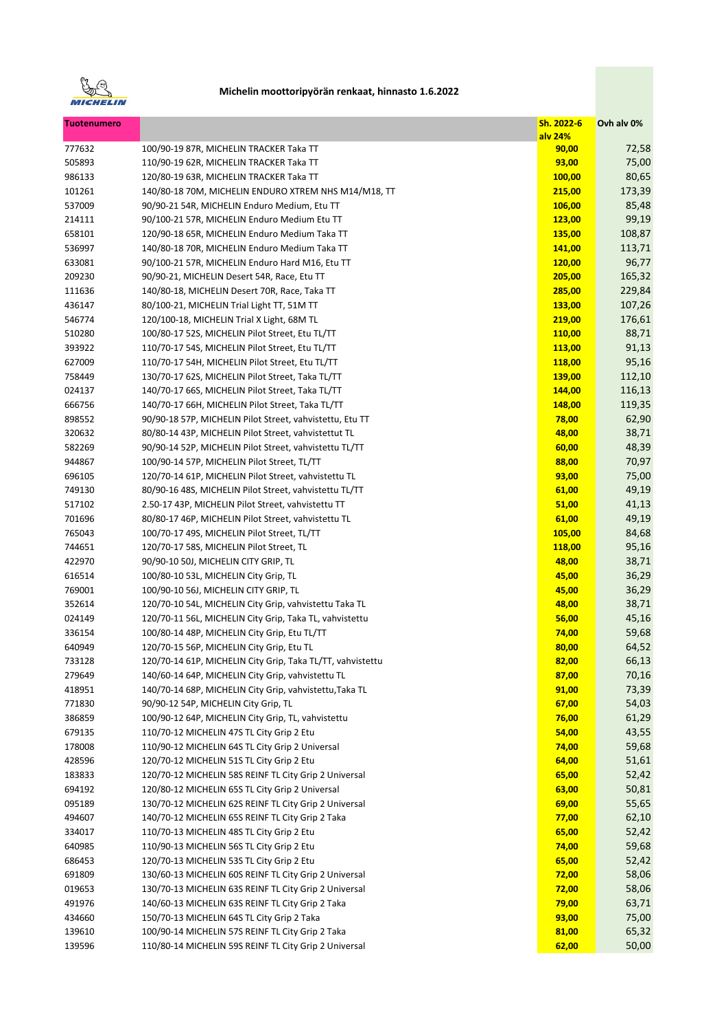

| <b>Tuotenumero</b> |                                                            | Sh. 2022-6<br>alv 24% | Ovh alv 0% |
|--------------------|------------------------------------------------------------|-----------------------|------------|
| 777632             | 100/90-19 87R, MICHELIN TRACKER Taka TT                    | 90,00                 | 72,58      |
| 505893             | 110/90-19 62R, MICHELIN TRACKER Taka TT                    | 93,00                 | 75,00      |
| 986133             | 120/80-19 63R, MICHELIN TRACKER Taka TT                    | 100,00                | 80,65      |
| 101261             | 140/80-18 70M, MICHELIN ENDURO XTREM NHS M14/M18, TT       | 215,00                | 173,39     |
| 537009             | 90/90-21 54R, MICHELIN Enduro Medium, Etu TT               | 106,00                | 85,48      |
| 214111             | 90/100-21 57R, MICHELIN Enduro Medium Etu TT               | 123,00                | 99,19      |
| 658101             | 120/90-18 65R, MICHELIN Enduro Medium Taka TT              | 135,00                | 108,87     |
| 536997             | 140/80-18 70R, MICHELIN Enduro Medium Taka TT              | 141,00                | 113,71     |
| 633081             | 90/100-21 57R, MICHELIN Enduro Hard M16, Etu TT            | 120,00                | 96,77      |
| 209230             | 90/90-21, MICHELIN Desert 54R, Race, Etu TT                | 205,00                | 165,32     |
| 111636             | 140/80-18, MICHELIN Desert 70R, Race, Taka TT              | 285,00                | 229,84     |
| 436147             | 80/100-21, MICHELIN Trial Light TT, 51M TT                 | 133,00                | 107,26     |
| 546774             | 120/100-18, MICHELIN Trial X Light, 68M TL                 | 219,00                | 176,61     |
| 510280             | 100/80-17 52S, MICHELIN Pilot Street, Etu TL/TT            | 110,00                | 88,71      |
| 393922             | 110/70-17 54S, MICHELIN Pilot Street, Etu TL/TT            | <b>113,00</b>         | 91,13      |
| 627009             | 110/70-17 54H, MICHELIN Pilot Street, Etu TL/TT            | 118,00                | 95,16      |
| 758449             | 130/70-17 62S, MICHELIN Pilot Street, Taka TL/TT           | 139,00                | 112,10     |
| 024137             | 140/70-17 66S, MICHELIN Pilot Street, Taka TL/TT           | 144,00                | 116,13     |
| 666756             | 140/70-17 66H, MICHELIN Pilot Street, Taka TL/TT           | 148,00                | 119,35     |
| 898552             | 90/90-18 57P, MICHELIN Pilot Street, vahvistettu, Etu TT   | 78,00                 | 62,90      |
| 320632             | 80/80-14 43P, MICHELIN Pilot Street, vahvistettut TL       | 48,00                 | 38,71      |
| 582269             | 90/90-14 52P, MICHELIN Pilot Street, vahvistettu TL/TT     | 60,00                 | 48,39      |
| 944867             | 100/90-14 57P, MICHELIN Pilot Street, TL/TT                | 88,00                 | 70,97      |
| 696105             | 120/70-14 61P, MICHELIN Pilot Street, vahvistettu TL       | 93,00                 | 75,00      |
| 749130             | 80/90-16 48S, MICHELIN Pilot Street, vahvistettu TL/TT     | 61,00                 | 49,19      |
| 517102             | 2.50-17 43P, MICHELIN Pilot Street, vahvistettu TT         | 51,00                 | 41,13      |
| 701696             | 80/80-17 46P, MICHELIN Pilot Street, vahvistettu TL        | 61,00                 | 49,19      |
| 765043             | 100/70-17 49S, MICHELIN Pilot Street, TL/TT                | 105,00                | 84,68      |
| 744651             | 120/70-17 58S, MICHELIN Pilot Street, TL                   | 118,00                | 95,16      |
| 422970             | 90/90-10 50J, MICHELIN CITY GRIP, TL                       | 48,00                 | 38,71      |
| 616514             | 100/80-10 53L, MICHELIN City Grip, TL                      | 45,00                 | 36,29      |
| 769001             | 100/90-10 56J, MICHELIN CITY GRIP, TL                      | 45,00                 | 36,29      |
| 352614             | 120/70-10 54L, MICHELIN City Grip, vahvistettu Taka TL     | 48,00                 | 38,71      |
| 024149             | 120/70-11 56L, MICHELIN City Grip, Taka TL, vahvistettu    | 56,00                 | 45,16      |
| 336154             | 100/80-14 48P, MICHELIN City Grip, Etu TL/TT               | 74,00                 | 59,68      |
| 640949             | 120/70-15 56P, MICHELIN City Grip, Etu TL                  | 80,00                 | 64,52      |
| 733128             | 120/70-14 61P, MICHELIN City Grip, Taka TL/TT, vahvistettu | 82,00                 | 66,13      |
| 279649             | 140/60-14 64P, MICHELIN City Grip, vahvistettu TL          | 87,00                 | 70,16      |
| 418951             | 140/70-14 68P, MICHELIN City Grip, vahvistettu, Taka TL    | 91,00                 | 73,39      |
| 771830             | 90/90-12 54P, MICHELIN City Grip, TL                       | 67,00                 | 54,03      |
| 386859             | 100/90-12 64P, MICHELIN City Grip, TL, vahvistettu         | 76,00                 | 61,29      |
| 679135             | 110/70-12 MICHELIN 47S TL City Grip 2 Etu                  | 54,00                 | 43,55      |
| 178008             | 110/90-12 MICHELIN 64S TL City Grip 2 Universal            | 74,00                 | 59,68      |
| 428596             | 120/70-12 MICHELIN 51S TL City Grip 2 Etu                  | 64,00                 | 51,61      |
| 183833             | 120/70-12 MICHELIN 58S REINF TL City Grip 2 Universal      | 65,00                 | 52,42      |
| 694192             | 120/80-12 MICHELIN 65S TL City Grip 2 Universal            | 63,00                 | 50,81      |
| 095189             | 130/70-12 MICHELIN 62S REINF TL City Grip 2 Universal      | 69,00                 | 55,65      |
| 494607             | 140/70-12 MICHELIN 65S REINF TL City Grip 2 Taka           | 77,00                 | 62,10      |
| 334017             | 110/70-13 MICHELIN 48S TL City Grip 2 Etu                  | 65,00                 | 52,42      |
| 640985             | 110/90-13 MICHELIN 56S TL City Grip 2 Etu                  | 74,00                 | 59,68      |
| 686453             | 120/70-13 MICHELIN 53S TL City Grip 2 Etu                  | 65,00                 | 52,42      |
| 691809             | 130/60-13 MICHELIN 60S REINF TL City Grip 2 Universal      | 72,00                 | 58,06      |
| 019653             | 130/70-13 MICHELIN 63S REINF TL City Grip 2 Universal      | 72,00                 | 58,06      |
| 491976             | 140/60-13 MICHELIN 63S REINF TL City Grip 2 Taka           | 79,00                 | 63,71      |
| 434660             | 150/70-13 MICHELIN 64S TL City Grip 2 Taka                 | 93,00                 | 75,00      |
| 139610             | 100/90-14 MICHELIN 57S REINF TL City Grip 2 Taka           | 81,00                 | 65,32      |
| 139596             | 110/80-14 MICHELIN 59S REINF TL City Grip 2 Universal      | 62,00                 | 50,00      |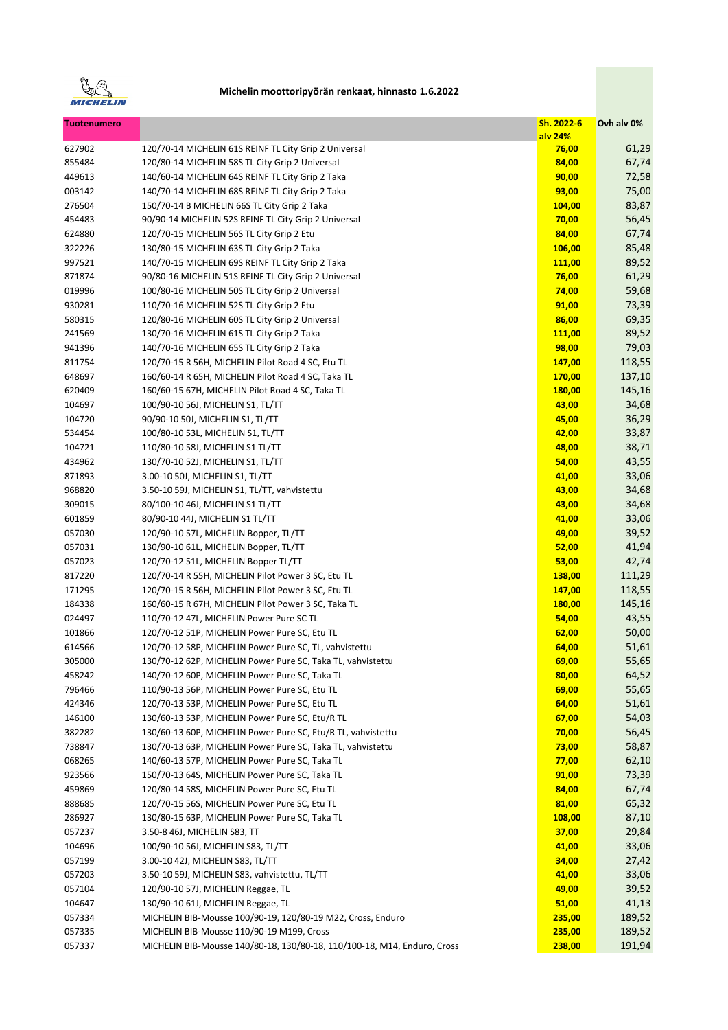

| <b>Tuotenumero</b> |                                                                                                     | Sh. 2022-6       | Ovh alv 0%     |
|--------------------|-----------------------------------------------------------------------------------------------------|------------------|----------------|
|                    | 120/70-14 MICHELIN 61S REINF TL City Grip 2 Universal                                               | alv 24%          |                |
| 627902             |                                                                                                     | 76,00            | 61,29          |
| 855484             | 120/80-14 MICHELIN 58S TL City Grip 2 Universal<br>140/60-14 MICHELIN 64S REINF TL City Grip 2 Taka | 84,00            | 67,74<br>72,58 |
| 449613<br>003142   | 140/70-14 MICHELIN 68S REINF TL City Grip 2 Taka                                                    | 90,00<br>93,00   | 75,00          |
| 276504             | 150/70-14 B MICHELIN 66S TL City Grip 2 Taka                                                        | 104,00           | 83,87          |
| 454483             | 90/90-14 MICHELIN 52S REINF TL City Grip 2 Universal                                                | 70,00            | 56,45          |
| 624880             | 120/70-15 MICHELIN 56S TL City Grip 2 Etu                                                           | 84,00            | 67,74          |
|                    |                                                                                                     |                  |                |
| 322226<br>997521   | 130/80-15 MICHELIN 63S TL City Grip 2 Taka<br>140/70-15 MICHELIN 69S REINF TL City Grip 2 Taka      | 106,00<br>111,00 | 85,48<br>89,52 |
|                    | 90/80-16 MICHELIN 51S REINF TL City Grip 2 Universal                                                |                  |                |
| 871874             |                                                                                                     | 76,00            | 61,29          |
| 019996             | 100/80-16 MICHELIN 50S TL City Grip 2 Universal                                                     | 74,00            | 59,68          |
| 930281<br>580315   | 110/70-16 MICHELIN 52S TL City Grip 2 Etu<br>120/80-16 MICHELIN 60S TL City Grip 2 Universal        | 91,00<br>86,00   | 73,39<br>69,35 |
| 241569             | 130/70-16 MICHELIN 61S TL City Grip 2 Taka                                                          |                  | 89,52          |
|                    |                                                                                                     | 111,00           |                |
| 941396             | 140/70-16 MICHELIN 65S TL City Grip 2 Taka                                                          | 98,00            | 79,03          |
| 811754             | 120/70-15 R 56H, MICHELIN Pilot Road 4 SC, Etu TL                                                   | 147,00           | 118,55         |
| 648697             | 160/60-14 R 65H, MICHELIN Pilot Road 4 SC, Taka TL                                                  | 170,00           | 137,10         |
| 620409             | 160/60-15 67H, MICHELIN Pilot Road 4 SC, Taka TL                                                    | 180,00           | 145,16         |
| 104697             | 100/90-10 56J, MICHELIN S1, TL/TT                                                                   | 43,00            | 34,68          |
| 104720             | 90/90-10 50J, MICHELIN S1, TL/TT                                                                    | 45,00            | 36,29          |
| 534454             | 100/80-10 53L, MICHELIN S1, TL/TT                                                                   | 42,00            | 33,87          |
| 104721             | 110/80-10 58J, MICHELIN S1 TL/TT                                                                    | 48,00            | 38,71          |
| 434962             | 130/70-10 52J, MICHELIN S1, TL/TT                                                                   | 54,00            | 43,55          |
| 871893             | 3.00-10 50J, MICHELIN S1, TL/TT                                                                     | 41,00            | 33,06          |
| 968820             | 3.50-10 59J, MICHELIN S1, TL/TT, vahvistettu                                                        | 43,00            | 34,68          |
| 309015             | 80/100-10 46J, MICHELIN S1 TL/TT                                                                    | 43,00            | 34,68          |
| 601859             | 80/90-10 44J, MICHELIN S1 TL/TT                                                                     | 41,00            | 33,06          |
| 057030             | 120/90-10 57L, MICHELIN Bopper, TL/TT                                                               | 49,00            | 39,52          |
| 057031             | 130/90-10 61L, MICHELIN Bopper, TL/TT                                                               | 52,00            | 41,94          |
| 057023             | 120/70-12 51L, MICHELIN Bopper TL/TT                                                                | 53,00            | 42,74          |
| 817220             | 120/70-14 R 55H, MICHELIN Pilot Power 3 SC, Etu TL                                                  | 138,00           | 111,29         |
| 171295             | 120/70-15 R 56H, MICHELIN Pilot Power 3 SC, Etu TL                                                  | 147,00           | 118,55         |
| 184338             | 160/60-15 R 67H, MICHELIN Pilot Power 3 SC, Taka TL                                                 | 180,00           | 145,16         |
| 024497             | 110/70-12 47L, MICHELIN Power Pure SC TL                                                            | 54,00            | 43,55          |
| 101866             | 120/70-12 51P, MICHELIN Power Pure SC, Etu TL                                                       | 62,00            | 50,00          |
| 614566             | 120/70-12 58P, MICHELIN Power Pure SC, TL, vahvistettu                                              | 64,00            | 51,61          |
| 305000             | 130/70-12 62P, MICHELIN Power Pure SC, Taka TL, vahvistettu                                         | 69,00            | 55,65          |
| 458242             | 140/70-12 60P, MICHELIN Power Pure SC, Taka TL                                                      | 80,00            | 64,52          |
| 796466             | 110/90-13 56P, MICHELIN Power Pure SC, Etu TL                                                       | 69,00            | 55,65          |
| 424346             | 120/70-13 53P, MICHELIN Power Pure SC, Etu TL                                                       | 64,00            | 51,61          |
| 146100             | 130/60-13 53P, MICHELIN Power Pure SC, Etu/R TL                                                     | 67,00            | 54,03          |
| 382282             | 130/60-13 60P, MICHELIN Power Pure SC, Etu/R TL, vahvistettu                                        | 70,00            | 56,45          |
| 738847             | 130/70-13 63P, MICHELIN Power Pure SC, Taka TL, vahvistettu                                         | 73,00            | 58,87          |
| 068265             | 140/60-13 57P, MICHELIN Power Pure SC, Taka TL                                                      | 77,00            | 62,10          |
| 923566             | 150/70-13 64S, MICHELIN Power Pure SC, Taka TL                                                      | 91,00            | 73,39          |
| 459869             | 120/80-14 58S, MICHELIN Power Pure SC, Etu TL                                                       | 84,00            | 67,74          |
| 888685             | 120/70-15 56S, MICHELIN Power Pure SC, Etu TL                                                       | 81,00            | 65,32          |
| 286927             | 130/80-15 63P, MICHELIN Power Pure SC, Taka TL                                                      | 108,00           | 87,10          |
| 057237             | 3.50-8 46J, MICHELIN S83, TT                                                                        | 37,00            | 29,84          |
| 104696             | 100/90-10 56J, MICHELIN S83, TL/TT                                                                  | 41,00            | 33,06          |
| 057199             | 3.00-10 42J, MICHELIN S83, TL/TT                                                                    | 34,00            | 27,42          |
| 057203             | 3.50-10 59J, MICHELIN S83, vahvistettu, TL/TT                                                       | 41,00            | 33,06          |
| 057104             | 120/90-10 57J, MICHELIN Reggae, TL                                                                  | 49,00            | 39,52          |
| 104647             | 130/90-10 61J, MICHELIN Reggae, TL                                                                  | 51,00            | 41,13          |
| 057334             | MICHELIN BIB-Mousse 100/90-19, 120/80-19 M22, Cross, Enduro                                         | 235,00           | 189,52         |
| 057335             | MICHELIN BIB-Mousse 110/90-19 M199, Cross                                                           | 235,00           | 189,52         |
| 057337             | MICHELIN BIB-Mousse 140/80-18, 130/80-18, 110/100-18, M14, Enduro, Cross                            | 238,00           | 191,94         |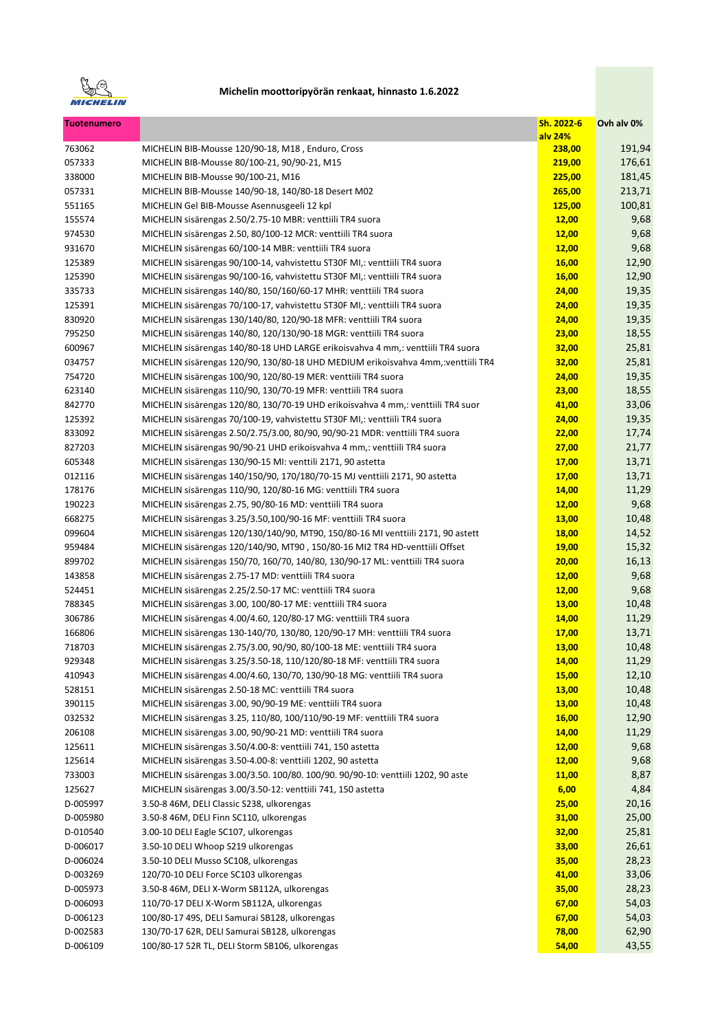

| <b>Tuotenumero</b> |                                                                                  | Sh. 2022-6   | Ovh alv 0% |
|--------------------|----------------------------------------------------------------------------------|--------------|------------|
|                    |                                                                                  | alv 24%      |            |
| 763062             | MICHELIN BIB-Mousse 120/90-18, M18, Enduro, Cross                                | 238,00       | 191,94     |
| 057333             | MICHELIN BIB-Mousse 80/100-21, 90/90-21, M15                                     | 219,00       | 176,61     |
| 338000             | MICHELIN BIB-Mousse 90/100-21, M16                                               | 225,00       | 181,45     |
| 057331             | MICHELIN BIB-Mousse 140/90-18, 140/80-18 Desert M02                              | 265,00       | 213,71     |
| 551165             | MICHELIN Gel BIB-Mousse Asennusgeeli 12 kpl                                      | 125,00       | 100,81     |
| 155574             | MICHELIN sisärengas 2.50/2.75-10 MBR: venttiili TR4 suora                        | 12,00        | 9,68       |
| 974530             | MICHELIN sisärengas 2.50, 80/100-12 MCR: venttiili TR4 suora                     | 12,00        | 9,68       |
| 931670             | MICHELIN sisärengas 60/100-14 MBR: venttiili TR4 suora                           | 12,00        | 9,68       |
| 125389             | MICHELIN sisärengas 90/100-14, vahvistettu ST30F MI,: venttiili TR4 suora        | 16,00        | 12,90      |
| 125390             | MICHELIN sisärengas 90/100-16, vahvistettu ST30F MI,: venttiili TR4 suora        | 16,00        | 12,90      |
| 335733             | MICHELIN sisärengas 140/80, 150/160/60-17 MHR: venttiili TR4 suora               | 24,00        | 19,35      |
| 125391             | MICHELIN sisärengas 70/100-17, vahvistettu ST30F MI,: venttiili TR4 suora        | 24,00        | 19,35      |
| 830920             | MICHELIN sisärengas 130/140/80, 120/90-18 MFR: venttiili TR4 suora               | 24,00        | 19,35      |
| 795250             | MICHELIN sisärengas 140/80, 120/130/90-18 MGR: venttiili TR4 suora               | 23,00        | 18,55      |
| 600967             | MICHELIN sisärengas 140/80-18 UHD LARGE erikoisvahva 4 mm,: venttiili TR4 suora  | 32,00        | 25,81      |
| 034757             | MICHELIN sisärengas 120/90, 130/80-18 UHD MEDIUM erikoisvahva 4mm,:venttiili TR4 | 32,00        | 25,81      |
| 754720             | MICHELIN sisärengas 100/90, 120/80-19 MER: venttiili TR4 suora                   | 24,00        | 19,35      |
| 623140             | MICHELIN sisärengas 110/90, 130/70-19 MFR: venttiili TR4 suora                   | 23,00        | 18,55      |
| 842770             | MICHELIN sisärengas 120/80, 130/70-19 UHD erikoisvahva 4 mm,: venttiili TR4 suor | 41,00        | 33,06      |
| 125392             | MICHELIN sisärengas 70/100-19, vahvistettu ST30F MI,: venttiili TR4 suora        | 24,00        | 19,35      |
| 833092             | MICHELIN sisärengas 2.50/2.75/3.00, 80/90, 90/90-21 MDR: venttiili TR4 suora     | 22,00        | 17,74      |
| 827203             | MICHELIN sisärengas 90/90-21 UHD erikoisvahva 4 mm,: venttiili TR4 suora         | 27,00        | 21,77      |
| 605348             | MICHELIN sisärengas 130/90-15 MI: venttili 2171, 90 astetta                      | 17,00        | 13,71      |
| 012116             | MICHELIN sisärengas 140/150/90, 170/180/70-15 MJ venttiili 2171, 90 astetta      | <b>17,00</b> | 13,71      |
| 178176             | MICHELIN sisärengas 110/90, 120/80-16 MG: venttiili TR4 suora                    | 14,00        | 11,29      |
| 190223             | MICHELIN sisärengas 2.75, 90/80-16 MD: venttiili TR4 suora                       | 12,00        | 9,68       |
| 668275             | MICHELIN sisärengas 3.25/3.50,100/90-16 MF: venttiili TR4 suora                  | 13,00        | 10,48      |
| 099604             | MICHELIN sisärengas 120/130/140/90, MT90, 150/80-16 MI venttiili 2171, 90 astett | 18,00        | 14,52      |
| 959484             | MICHELIN sisärengas 120/140/90, MT90, 150/80-16 MI2 TR4 HD-venttiili Offset      | <b>19,00</b> | 15,32      |
| 899702             | MICHELIN sisärengas 150/70, 160/70, 140/80, 130/90-17 ML: venttiili TR4 suora    | 20,00        | 16,13      |
| 143858             | MICHELIN sisärengas 2.75-17 MD: venttiili TR4 suora                              | 12,00        | 9,68       |
| 524451             | MICHELIN sisärengas 2.25/2.50-17 MC: venttiili TR4 suora                         | 12,00        | 9,68       |
| 788345             | MICHELIN sisärengas 3.00, 100/80-17 ME: venttiili TR4 suora                      | 13,00        | 10,48      |
| 306786             | MICHELIN sisärengas 4.00/4.60, 120/80-17 MG: venttiili TR4 suora                 | 14,00        | 11,29      |
| 166806             | MICHELIN sisärengas 130-140/70, 130/80, 120/90-17 MH: venttiili TR4 suora        | 17,00        | 13,71      |
| 718703             | MICHELIN sisärengas 2.75/3.00, 90/90, 80/100-18 ME: venttiili TR4 suora          | 13,00        | 10,48      |
| 929348             | MICHELIN sisärengas 3.25/3.50-18, 110/120/80-18 MF: venttiili TR4 suora          | 14,00        | 11,29      |
| 410943             | MICHELIN sisärengas 4.00/4.60, 130/70, 130/90-18 MG: venttiili TR4 suora         | <b>15,00</b> | 12,10      |
| 528151             | MICHELIN sisärengas 2.50-18 MC: venttiili TR4 suora                              | <b>13,00</b> | 10,48      |
| 390115             | MICHELIN sisärengas 3.00, 90/90-19 ME: venttiili TR4 suora                       | 13,00        | 10,48      |
| 032532             | MICHELIN sisärengas 3.25, 110/80, 100/110/90-19 MF: venttiili TR4 suora          | 16,00        | 12,90      |
| 206108             | MICHELIN sisärengas 3.00, 90/90-21 MD: venttiili TR4 suora                       | 14,00        | 11,29      |
| 125611             | MICHELIN sisärengas 3.50/4.00-8: venttiili 741, 150 astetta                      | <b>12,00</b> | 9,68       |
| 125614             | MICHELIN sisärengas 3.50-4.00-8: venttiili 1202, 90 astetta                      | 12,00        | 9,68       |
| 733003             | MICHELIN sisärengas 3.00/3.50. 100/80. 100/90. 90/90-10: venttiili 1202, 90 aste | <b>11,00</b> | 8,87       |
| 125627             | MICHELIN sisärengas 3.00/3.50-12: venttiili 741, 150 astetta                     | 6,00         | 4,84       |
| D-005997           | 3.50-8 46M, DELI Classic S238, ulkorengas                                        | 25,00        | 20,16      |
| D-005980           | 3.50-8 46M, DELI Finn SC110, ulkorengas                                          | 31,00        | 25,00      |
| D-010540           | 3.00-10 DELI Eagle SC107, ulkorengas                                             | 32,00        | 25,81      |
| D-006017           | 3.50-10 DELI Whoop S219 ulkorengas                                               | 33,00        | 26,61      |
| D-006024           | 3.50-10 DELI Musso SC108, ulkorengas                                             | 35,00        | 28,23      |
| D-003269           | 120/70-10 DELI Force SC103 ulkorengas                                            | 41,00        | 33,06      |
| D-005973           | 3.50-8 46M, DELI X-Worm SB112A, ulkorengas                                       | 35,00        | 28,23      |
| D-006093           | 110/70-17 DELI X-Worm SB112A, ulkorengas                                         | 67,00        | 54,03      |
| D-006123           | 100/80-17 49S, DELI Samurai SB128, ulkorengas                                    | 67,00        | 54,03      |
| D-002583           | 130/70-17 62R, DELI Samurai SB128, ulkorengas                                    | 78,00        | 62,90      |
| D-006109           | 100/80-17 52R TL, DELI Storm SB106, ulkorengas                                   | 54,00        | 43,55      |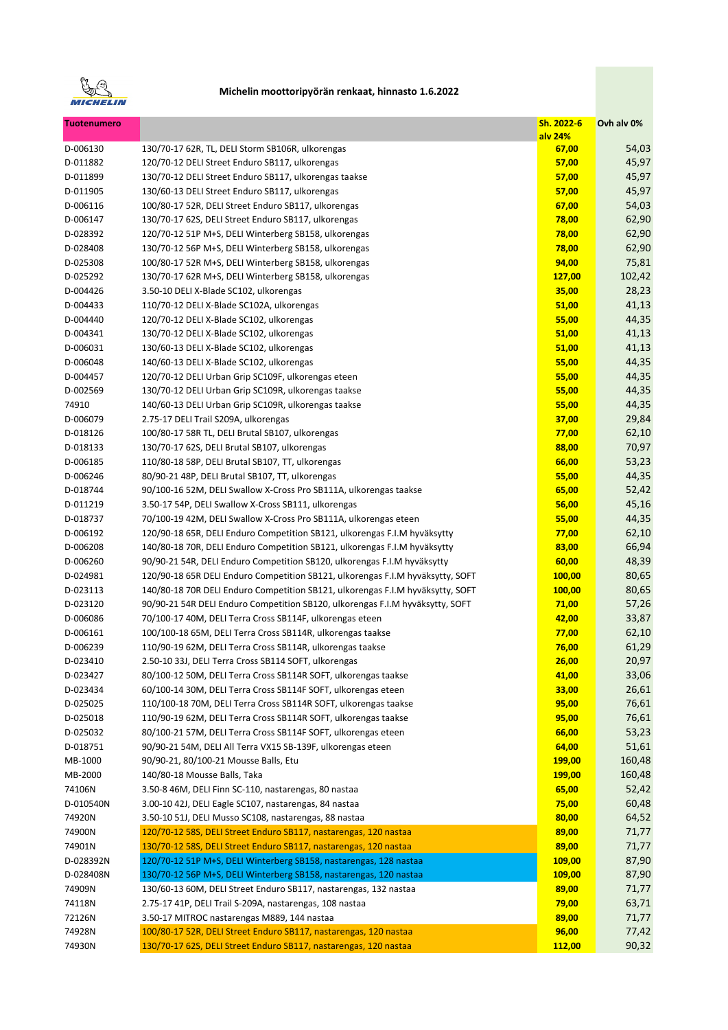

| <b>Tuotenumero</b> |                                                                                | Sh. 2022-6<br>alv 24% | Ovh alv 0% |
|--------------------|--------------------------------------------------------------------------------|-----------------------|------------|
| D-006130           | 130/70-17 62R, TL, DELI Storm SB106R, ulkorengas                               | 67,00                 | 54,03      |
| D-011882           | 120/70-12 DELI Street Enduro SB117, ulkorengas                                 | 57,00                 | 45,97      |
| D-011899           | 130/70-12 DELI Street Enduro SB117, ulkorengas taakse                          | 57,00                 | 45,97      |
| D-011905           | 130/60-13 DELI Street Enduro SB117, ulkorengas                                 | 57,00                 | 45,97      |
| D-006116           | 100/80-17 52R, DELI Street Enduro SB117, ulkorengas                            | 67,00                 | 54,03      |
| D-006147           | 130/70-17 62S, DELI Street Enduro SB117, ulkorengas                            | 78,00                 | 62,90      |
| D-028392           | 120/70-12 51P M+S, DELI Winterberg SB158, ulkorengas                           | 78,00                 | 62,90      |
| D-028408           | 130/70-12 56P M+S, DELI Winterberg SB158, ulkorengas                           | 78,00                 | 62,90      |
| D-025308           | 100/80-17 52R M+S, DELI Winterberg SB158, ulkorengas                           | 94,00                 | 75,81      |
| D-025292           | 130/70-17 62R M+S, DELI Winterberg SB158, ulkorengas                           | 127,00                | 102,42     |
| D-004426           | 3.50-10 DELI X-Blade SC102, ulkorengas                                         | 35,00                 | 28,23      |
| D-004433           | 110/70-12 DELI X-Blade SC102A, ulkorengas                                      | 51,00                 | 41,13      |
| D-004440           | 120/70-12 DELI X-Blade SC102, ulkorengas                                       | 55,00                 | 44,35      |
| D-004341           | 130/70-12 DELI X-Blade SC102, ulkorengas                                       | 51,00                 | 41,13      |
| D-006031           | 130/60-13 DELI X-Blade SC102, ulkorengas                                       | 51,00                 | 41,13      |
| D-006048           | 140/60-13 DELI X-Blade SC102, ulkorengas                                       | 55,00                 | 44,35      |
| D-004457           | 120/70-12 DELI Urban Grip SC109F, ulkorengas eteen                             | 55,00                 | 44,35      |
|                    | 130/70-12 DELI Urban Grip SC109R, ulkorengas taakse                            |                       |            |
| D-002569           | 140/60-13 DELI Urban Grip SC109R, ulkorengas taakse                            | 55,00                 | 44,35      |
| 74910              |                                                                                | 55,00                 | 44,35      |
| D-006079           | 2.75-17 DELI Trail S209A, ulkorengas                                           | 37,00                 | 29,84      |
| D-018126           | 100/80-17 58R TL, DELI Brutal SB107, ulkorengas                                | 77,00                 | 62,10      |
| D-018133           | 130/70-17 62S, DELI Brutal SB107, ulkorengas                                   | 88,00                 | 70,97      |
| D-006185           | 110/80-18 58P, DELI Brutal SB107, TT, ulkorengas                               | 66,00                 | 53,23      |
| D-006246           | 80/90-21 48P, DELI Brutal SB107, TT, ulkorengas                                | 55,00                 | 44,35      |
| D-018744           | 90/100-16 52M, DELI Swallow X-Cross Pro SB111A, ulkorengas taakse              | 65,00                 | 52,42      |
| D-011219           | 3.50-17 54P, DELI Swallow X-Cross SB111, ulkorengas                            | 56,00                 | 45,16      |
| D-018737           | 70/100-19 42M, DELI Swallow X-Cross Pro SB111A, ulkorengas eteen               | 55,00                 | 44,35      |
| D-006192           | 120/90-18 65R, DELI Enduro Competition SB121, ulkorengas F.I.M hyväksytty      | 77,00                 | 62,10      |
| D-006208           | 140/80-18 70R, DELI Enduro Competition SB121, ulkorengas F.I.M hyväksytty      | 83,00                 | 66,94      |
| D-006260           | 90/90-21 54R, DELI Enduro Competition SB120, ulkorengas F.I.M hyväksytty       | 60,00                 | 48,39      |
| D-024981           | 120/90-18 65R DELI Enduro Competition SB121, ulkorengas F.I.M hyväksytty, SOFT | 100,00                | 80,65      |
| D-023113           | 140/80-18 70R DELI Enduro Competition SB121, ulkorengas F.I.M hyväksytty, SOFT | 100,00                | 80,65      |
| D-023120           | 90/90-21 54R DELI Enduro Competition SB120, ulkorengas F.I.M hyväksytty, SOFT  | 71,00                 | 57,26      |
| D-006086           | 70/100-17 40M, DELI Terra Cross SB114F, ulkorengas eteen                       | 42,00                 | 33,87      |
| D-006161           | 100/100-18 65M, DELI Terra Cross SB114R, ulkorengas taakse                     | 77,00                 | 62,10      |
| D-006239           | 110/90-19 62M, DELI Terra Cross SB114R, ulkorengas taakse                      | 76,00                 | 61,29      |
| D-023410           | 2.50-10 33J, DELI Terra Cross SB114 SOFT, ulkorengas                           | 26,00                 | 20,97      |
| D-023427           | 80/100-12 50M, DELI Terra Cross SB114R SOFT, ulkorengas taakse                 | 41,00                 | 33,06      |
| D-023434           | 60/100-14 30M, DELI Terra Cross SB114F SOFT, ulkorengas eteen                  | 33,00                 | 26,61      |
| D-025025           | 110/100-18 70M, DELI Terra Cross SB114R SOFT, ulkorengas taakse                | 95,00                 | 76,61      |
| D-025018           | 110/90-19 62M, DELI Terra Cross SB114R SOFT, ulkorengas taakse                 | 95,00                 | 76,61      |
| D-025032           | 80/100-21 57M, DELI Terra Cross SB114F SOFT, ulkorengas eteen                  | 66,00                 | 53,23      |
| D-018751           | 90/90-21 54M, DELI All Terra VX15 SB-139F, ulkorengas eteen                    | 64,00                 | 51,61      |
| MB-1000            | 90/90-21, 80/100-21 Mousse Balls, Etu                                          | 199,00                | 160,48     |
| MB-2000            | 140/80-18 Mousse Balls, Taka                                                   | 199,00                | 160,48     |
| 74106N             | 3.50-8 46M, DELI Finn SC-110, nastarengas, 80 nastaa                           | 65,00                 | 52,42      |
| D-010540N          | 3.00-10 42J, DELI Eagle SC107, nastarengas, 84 nastaa                          | 75,00                 | 60,48      |
| 74920N             | 3.50-10 51J, DELI Musso SC108, nastarengas, 88 nastaa                          | 80,00                 | 64,52      |
| 74900N             | 120/70-12 58S, DELI Street Enduro SB117, nastarengas, 120 nastaa               | 89,00                 | 71,77      |
| 74901N             | 130/70-12 58S, DELI Street Enduro SB117, nastarengas, 120 nastaa               | 89,00                 | 71,77      |
| D-028392N          | 120/70-12 51P M+S, DELI Winterberg SB158, nastarengas, 128 nastaa              | 109,00                | 87,90      |
| D-028408N          | 130/70-12 56P M+S, DELI Winterberg SB158, nastarengas, 120 nastaa              | 109,00                | 87,90      |
| 74909N             | 130/60-13 60M, DELI Street Enduro SB117, nastarengas, 132 nastaa               | 89,00                 | 71,77      |
| 74118N             | 2.75-17 41P, DELI Trail S-209A, nastarengas, 108 nastaa                        | 79,00                 | 63,71      |
| 72126N             | 3.50-17 MITROC nastarengas M889, 144 nastaa                                    | 89,00                 | 71,77      |
| 74928N             | 100/80-17 52R, DELI Street Enduro SB117, nastarengas, 120 nastaa               | 96,00                 | 77,42      |
| 74930N             | 130/70-17 62S, DELI Street Enduro SB117, nastarengas, 120 nastaa               | 112,00                | 90,32      |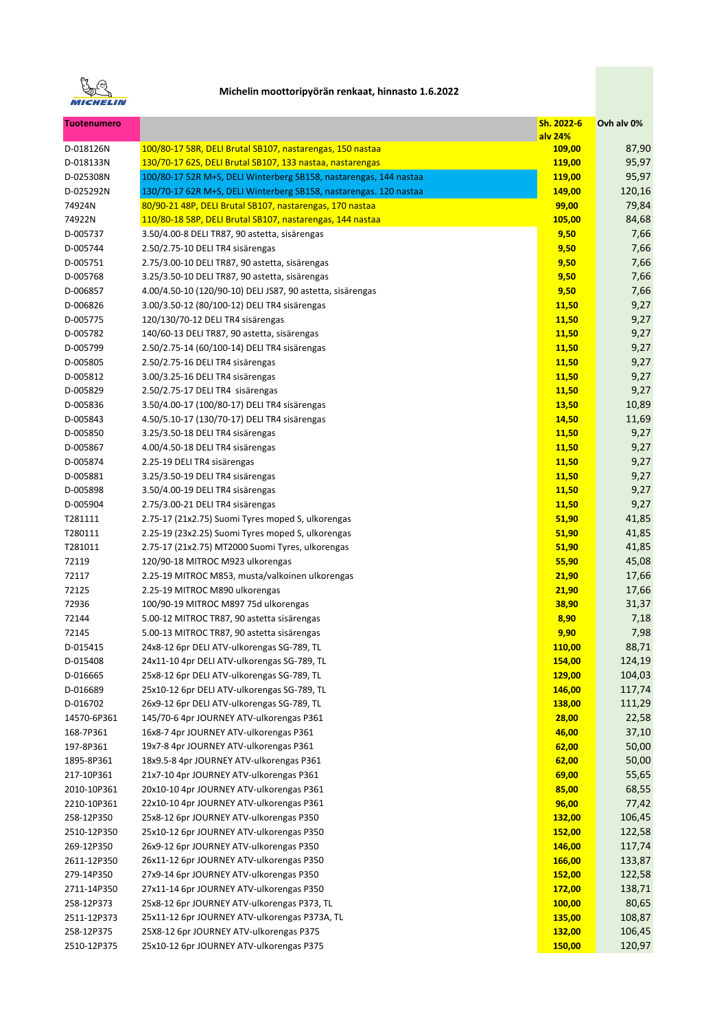

| <b>Tuotenumero</b>        |                                                                                        | Sh. 2022-6        | Ovh alv 0%       |
|---------------------------|----------------------------------------------------------------------------------------|-------------------|------------------|
| D-018126N                 | 100/80-17 58R, DELI Brutal SB107, nastarengas, 150 nastaa                              | alv 24%<br>109,00 | 87,90            |
| D-018133N                 | 130/70-17 62S, DELI Brutal SB107, 133 nastaa, nastarengas                              | 119,00            | 95,97            |
| D-025308N                 | 100/80-17 52R M+S, DELI Winterberg SB158, nastarengas, 144 nastaa                      | 119,00            | 95,97            |
| D-025292N                 | 130/70-17 62R M+S, DELI Winterberg SB158, nastarengas. 120 nastaa                      | 149,00            | 120,16           |
| 74924N                    | 80/90-21 48P, DELI Brutal SB107, nastarengas, 170 nastaa                               | 99,00             | 79,84            |
| 74922N                    | 110/80-18 58P, DELI Brutal SB107, nastarengas, 144 nastaa                              | 105,00            | 84,68            |
| D-005737                  | 3.50/4.00-8 DELI TR87, 90 astetta, sisärengas                                          | 9,50              | 7,66             |
| D-005744                  | 2.50/2.75-10 DELI TR4 sisärengas                                                       | 9,50              | 7,66             |
| D-005751                  | 2.75/3.00-10 DELI TR87, 90 astetta, sisärengas                                         | 9,50              | 7,66             |
| D-005768                  | 3.25/3.50-10 DELI TR87, 90 astetta, sisärengas                                         | 9,50              | 7,66             |
| D-006857                  | 4.00/4.50-10 (120/90-10) DELI JS87, 90 astetta, sisärengas                             | 9,50              | 7,66             |
| D-006826                  | 3.00/3.50-12 (80/100-12) DELI TR4 sisärengas                                           | 11,50             | 9,27             |
| D-005775                  | 120/130/70-12 DELI TR4 sisärengas                                                      | 11,50             | 9,27             |
| D-005782                  | 140/60-13 DELI TR87, 90 astetta, sisärengas                                            | 11,50             | 9,27             |
| D-005799                  | 2.50/2.75-14 (60/100-14) DELI TR4 sisärengas                                           | 11,50             | 9,27             |
| D-005805                  | 2.50/2.75-16 DELI TR4 sisärengas                                                       | 11,50             | 9,27             |
| D-005812                  | 3.00/3.25-16 DELI TR4 sisärengas                                                       | 11,50             | 9,27             |
| D-005829                  | 2.50/2.75-17 DELI TR4 sisärengas                                                       | 11,50             | 9,27             |
|                           | 3.50/4.00-17 (100/80-17) DELI TR4 sisärengas                                           | 13,50             | 10,89            |
| D-005836<br>D-005843      | 4.50/5.10-17 (130/70-17) DELI TR4 sisärengas                                           | 14,50             | 11,69            |
|                           |                                                                                        |                   |                  |
| D-005850                  | 3.25/3.50-18 DELI TR4 sisärengas                                                       | 11,50             | 9,27             |
| D-005867                  | 4.00/4.50-18 DELI TR4 sisärengas                                                       | 11,50             | 9,27             |
| D-005874                  | 2.25-19 DELI TR4 sisärengas                                                            | 11,50             | 9,27             |
| D-005881                  | 3.25/3.50-19 DELI TR4 sisärengas                                                       | <b>11,50</b>      | 9,27             |
| D-005898                  | 3.50/4.00-19 DELI TR4 sisärengas                                                       | <b>11,50</b>      | 9,27             |
| D-005904                  | 2.75/3.00-21 DELI TR4 sisärengas                                                       | 11,50             | 9,27             |
| T281111                   | 2.75-17 (21x2.75) Suomi Tyres moped S, ulkorengas                                      | 51,90             | 41,85            |
| T280111                   | 2.25-19 (23x2.25) Suomi Tyres moped S, ulkorengas                                      | 51,90             | 41,85            |
| T281011                   | 2.75-17 (21x2.75) MT2000 Suomi Tyres, ulkorengas                                       | 51,90             | 41,85            |
| 72119                     | 120/90-18 MITROC M923 ulkorengas                                                       | 55,90             | 45,08            |
| 72117                     | 2.25-19 MITROC M853, musta/valkoinen ulkorengas                                        | 21,90             | 17,66            |
| 72125                     | 2.25-19 MITROC M890 ulkorengas                                                         | 21,90             | 17,66            |
| 72936                     | 100/90-19 MITROC M897 75d ulkorengas                                                   | 38,90             | 31,37            |
| 72144                     | 5.00-12 MITROC TR87, 90 astetta sisärengas                                             | 8,90              | 7,18             |
| 72145                     | 5.00-13 MITROC TR87, 90 astetta sisärengas                                             | 9,90              | 7,98             |
| D-015415                  | 24x8-12 6pr DELI ATV-ulkorengas SG-789, TL                                             | <b>110,00</b>     | 88,71<br>124,19  |
| D-015408                  | 24x11-10 4pr DELI ATV-ulkorengas SG-789, TL                                            | 154,00            |                  |
| D-016665                  | 25x8-12 6pr DELI ATV-ulkorengas SG-789, TL                                             | <b>129,00</b>     | 104,03           |
| D-016689                  | 25x10-12 6pr DELI ATV-ulkorengas SG-789, TL                                            | 146,00            | 117,74<br>111,29 |
| D-016702<br>14570-6P361   | 26x9-12 6pr DELI ATV-ulkorengas SG-789, TL<br>145/70-6 4pr JOURNEY ATV-ulkorengas P361 | <b>138,00</b>     |                  |
|                           |                                                                                        | 28,00             | 22,58            |
| 168-7P361                 | 16x8-7 4pr JOURNEY ATV-ulkorengas P361                                                 | 46,00             | 37,10            |
| 197-8P361                 | 19x7-8 4pr JOURNEY ATV-ulkorengas P361                                                 | 62,00             | 50,00<br>50,00   |
| 1895-8P361                | 18x9.5-8 4pr JOURNEY ATV-ulkorengas P361                                               | 62,00             |                  |
| 217-10P361<br>2010-10P361 | 21x7-10 4pr JOURNEY ATV-ulkorengas P361<br>20x10-10 4pr JOURNEY ATV-ulkorengas P361    | 69,00             | 55,65            |
|                           |                                                                                        | 85,00             | 68,55            |
| 2210-10P361               | 22x10-10 4pr JOURNEY ATV-ulkorengas P361                                               | 96,00             | 77,42            |
| 258-12P350                | 25x8-12 6pr JOURNEY ATV-ulkorengas P350                                                | 132,00            | 106,45           |
| 2510-12P350               | 25x10-12 6pr JOURNEY ATV-ulkorengas P350                                               | 152,00            | 122,58           |
| 269-12P350                | 26x9-12 6pr JOURNEY ATV-ulkorengas P350                                                | 146,00            | 117,74           |
| 2611-12P350               | 26x11-12 6pr JOURNEY ATV-ulkorengas P350                                               | 166,00            | 133,87           |
| 279-14P350                | 27x9-14 6pr JOURNEY ATV-ulkorengas P350                                                | 152,00            | 122,58           |
| 2711-14P350               | 27x11-14 6pr JOURNEY ATV-ulkorengas P350                                               | 172,00            | 138,71           |
| 258-12P373                | 25x8-12 6pr JOURNEY ATV-ulkorengas P373, TL                                            | 100,00            | 80,65            |
| 2511-12P373               | 25x11-12 6pr JOURNEY ATV-ulkorengas P373A, TL                                          | 135,00            | 108,87           |
| 258-12P375                | 25X8-12 6pr JOURNEY ATV-ulkorengas P375                                                | 132,00            | 106,45           |
| 2510-12P375               | 25x10-12 6pr JOURNEY ATV-ulkorengas P375                                               | 150,00            | 120,97           |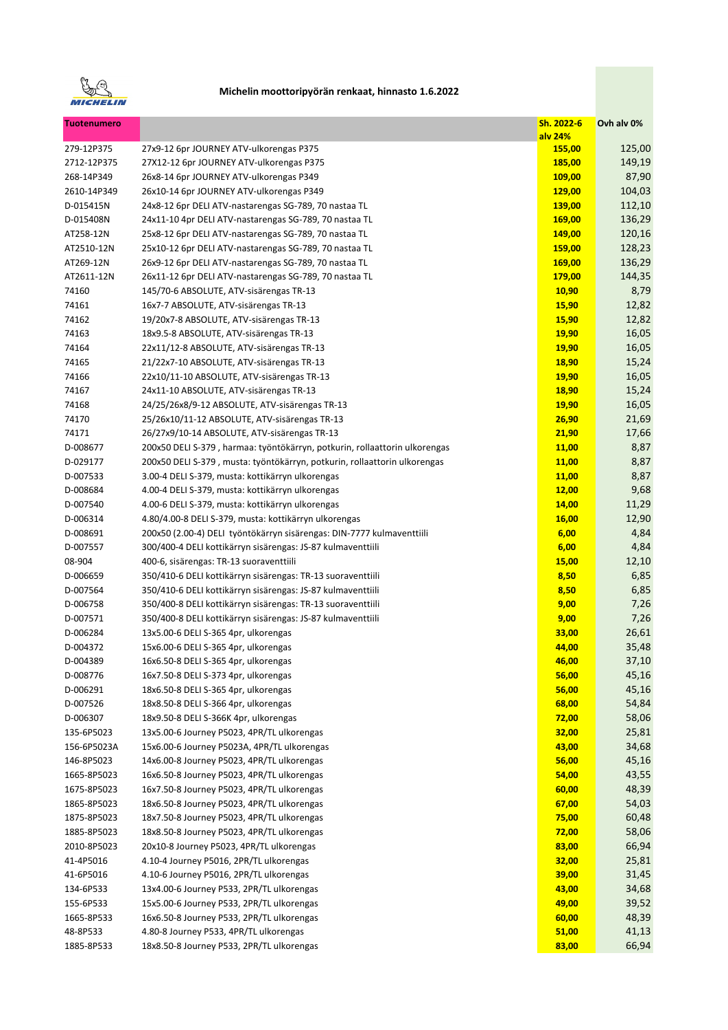

| <b>Tuotenumero</b>   |                                                                                                                            | Sh. 2022-6    | Ovh alv 0%    |
|----------------------|----------------------------------------------------------------------------------------------------------------------------|---------------|---------------|
|                      |                                                                                                                            | alv 24%       |               |
| 279-12P375           | 27x9-12 6pr JOURNEY ATV-ulkorengas P375                                                                                    | 155,00        | 125,00        |
| 2712-12P375          | 27X12-12 6pr JOURNEY ATV-ulkorengas P375                                                                                   | 185,00        | 149,19        |
| 268-14P349           | 26x8-14 6pr JOURNEY ATV-ulkorengas P349                                                                                    | <b>109,00</b> | 87,90         |
| 2610-14P349          | 26x10-14 6pr JOURNEY ATV-ulkorengas P349                                                                                   | 129,00        | 104,03        |
| D-015415N            | 24x8-12 6pr DELI ATV-nastarengas SG-789, 70 nastaa TL                                                                      | 139,00        | 112,10        |
| D-015408N            | 24x11-10 4pr DELI ATV-nastarengas SG-789, 70 nastaa TL                                                                     | 169,00        | 136,29        |
| AT258-12N            | 25x8-12 6pr DELI ATV-nastarengas SG-789, 70 nastaa TL                                                                      | 149,00        | 120,16        |
| AT2510-12N           | 25x10-12 6pr DELI ATV-nastarengas SG-789, 70 nastaa TL                                                                     | 159,00        | 128,23        |
| AT269-12N            | 26x9-12 6pr DELI ATV-nastarengas SG-789, 70 nastaa TL                                                                      | 169,00        | 136,29        |
| AT2611-12N           | 26x11-12 6pr DELI ATV-nastarengas SG-789, 70 nastaa TL                                                                     | 179,00        | 144,35        |
| 74160                | 145/70-6 ABSOLUTE, ATV-sisärengas TR-13                                                                                    | 10,90         | 8,79          |
| 74161                | 16x7-7 ABSOLUTE, ATV-sisärengas TR-13                                                                                      | 15,90         | 12,82         |
| 74162                | 19/20x7-8 ABSOLUTE, ATV-sisärengas TR-13                                                                                   | <b>15,90</b>  | 12,82         |
| 74163                | 18x9.5-8 ABSOLUTE, ATV-sisärengas TR-13                                                                                    | <b>19,90</b>  | 16,05         |
| 74164                | 22x11/12-8 ABSOLUTE, ATV-sisärengas TR-13                                                                                  | 19,90         | 16,05         |
| 74165                | 21/22x7-10 ABSOLUTE, ATV-sisärengas TR-13                                                                                  | 18,90         | 15,24         |
| 74166                | 22x10/11-10 ABSOLUTE, ATV-sisärengas TR-13                                                                                 | 19,90         | 16,05         |
| 74167                | 24x11-10 ABSOLUTE, ATV-sisärengas TR-13                                                                                    | 18,90         | 15,24         |
| 74168                | 24/25/26x8/9-12 ABSOLUTE, ATV-sisärengas TR-13                                                                             | 19,90         | 16,05         |
| 74170                | 25/26x10/11-12 ABSOLUTE, ATV-sisärengas TR-13                                                                              | 26,90         | 21,69         |
| 74171                | 26/27x9/10-14 ABSOLUTE, ATV-sisärengas TR-13                                                                               | 21,90         | 17,66         |
| D-008677             | 200x50 DELI S-379, harmaa: työntökärryn, potkurin, rollaattorin ulkorengas                                                 | <b>11,00</b>  | 8,87          |
| D-029177             | 200x50 DELI S-379, musta: työntökärryn, potkurin, rollaattorin ulkorengas                                                  | 11,00         | 8,87          |
| D-007533             | 3.00-4 DELI S-379, musta: kottikärryn ulkorengas                                                                           | <b>11,00</b>  | 8,87          |
| D-008684             | 4.00-4 DELI S-379, musta: kottikärryn ulkorengas                                                                           | 12,00         | 9,68          |
| D-007540             | 4.00-6 DELI S-379, musta: kottikärryn ulkorengas                                                                           | 14,00         | 11,29         |
| D-006314             | 4.80/4.00-8 DELI S-379, musta: kottikärryn ulkorengas                                                                      | 16,00         | 12,90         |
| D-008691             | 200x50 (2.00-4) DELI työntökärryn sisärengas: DIN-7777 kulmaventtiili                                                      | 6,00          | 4,84          |
| D-007557             | 300/400-4 DELI kottikärryn sisärengas: JS-87 kulmaventtiili                                                                | 6,00          | 4,84          |
| 08-904               | 400-6, sisärengas: TR-13 suoraventtiili                                                                                    | <b>15,00</b>  | 12,10<br>6,85 |
| D-006659<br>D-007564 | 350/410-6 DELI kottikärryn sisärengas: TR-13 suoraventtiili<br>350/410-6 DELI kottikärryn sisärengas: JS-87 kulmaventtiili | 8,50          | 6,85          |
| D-006758             | 350/400-8 DELI kottikärryn sisärengas: TR-13 suoraventtiili                                                                | 8,50<br>9,00  | 7,26          |
| D-007571             | 350/400-8 DELI kottikärryn sisärengas: JS-87 kulmaventtiili                                                                | 9,00          | 7,26          |
| D-006284             | 13x5.00-6 DELI S-365 4pr, ulkorengas                                                                                       | 33,00         | 26,61         |
| D-004372             | 15x6.00-6 DELI S-365 4pr, ulkorengas                                                                                       | 44,00         | 35,48         |
| D-004389             | 16x6.50-8 DELI S-365 4pr, ulkorengas                                                                                       | 46,00         | 37,10         |
| D-008776             | 16x7.50-8 DELI S-373 4pr, ulkorengas                                                                                       | 56,00         | 45,16         |
| D-006291             | 18x6.50-8 DELI S-365 4pr, ulkorengas                                                                                       | 56,00         | 45,16         |
| D-007526             | 18x8.50-8 DELI S-366 4pr, ulkorengas                                                                                       | 68,00         | 54,84         |
| D-006307             | 18x9.50-8 DELI S-366K 4pr, ulkorengas                                                                                      | 72,00         | 58,06         |
| 135-6P5023           | 13x5.00-6 Journey P5023, 4PR/TL ulkorengas                                                                                 | 32,00         | 25,81         |
| 156-6P5023A          | 15x6.00-6 Journey P5023A, 4PR/TL ulkorengas                                                                                | 43,00         | 34,68         |
| 146-8P5023           | 14x6.00-8 Journey P5023, 4PR/TL ulkorengas                                                                                 | 56,00         | 45,16         |
| 1665-8P5023          | 16x6.50-8 Journey P5023, 4PR/TL ulkorengas                                                                                 | 54,00         | 43,55         |
| 1675-8P5023          | 16x7.50-8 Journey P5023, 4PR/TL ulkorengas                                                                                 | 60,00         | 48,39         |
| 1865-8P5023          | 18x6.50-8 Journey P5023, 4PR/TL ulkorengas                                                                                 | 67,00         | 54,03         |
| 1875-8P5023          | 18x7.50-8 Journey P5023, 4PR/TL ulkorengas                                                                                 | 75,00         | 60,48         |
| 1885-8P5023          | 18x8.50-8 Journey P5023, 4PR/TL ulkorengas                                                                                 | 72,00         | 58,06         |
| 2010-8P5023          | 20x10-8 Journey P5023, 4PR/TL ulkorengas                                                                                   | 83,00         | 66,94         |
| 41-4P5016            | 4.10-4 Journey P5016, 2PR/TL ulkorengas                                                                                    | 32,00         | 25,81         |
| 41-6P5016            | 4.10-6 Journey P5016, 2PR/TL ulkorengas                                                                                    | 39,00         | 31,45         |
| 134-6P533            | 13x4.00-6 Journey P533, 2PR/TL ulkorengas                                                                                  | 43,00         | 34,68         |
| 155-6P533            | 15x5.00-6 Journey P533, 2PR/TL ulkorengas                                                                                  | 49,00         | 39,52         |
| 1665-8P533           | 16x6.50-8 Journey P533, 2PR/TL ulkorengas                                                                                  | 60,00         | 48,39         |
| 48-8P533             | 4.80-8 Journey P533, 4PR/TL ulkorengas                                                                                     | 51,00         | 41,13         |
| 1885-8P533           | 18x8.50-8 Journey P533, 2PR/TL ulkorengas                                                                                  | 83,00         | 66,94         |